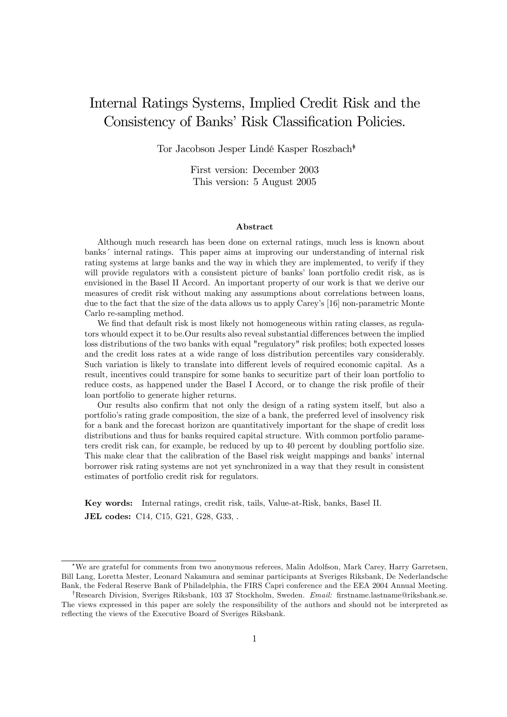# Internal Ratings Systems, Implied Credit Risk and the Consistency of Banks' Risk Classification Policies.

Tor Jacobson Jesper Lindé Kasper Roszbach∗†

First version: December 2003 This version: 5 August 2005

#### Abstract

Although much research has been done on external ratings, much less is known about banks´ internal ratings. This paper aims at improving our understanding of internal risk rating systems at large banks and the way in which they are implemented, to verify if they will provide regulators with a consistent picture of banks' loan portfolio credit risk, as is envisioned in the Basel II Accord. An important property of our work is that we derive our measures of credit risk without making any assumptions about correlations between loans, due to the fact that the size of the data allows us to apply Carey's [16] non-parametric Monte Carlo re-sampling method.

We find that default risk is most likely not homogeneous within rating classes, as regulators whould expect it to be.Our results also reveal substantial differences between the implied loss distributions of the two banks with equal "regulatory" risk profiles; both expected losses and the credit loss rates at a wide range of loss distribution percentiles vary considerably. Such variation is likely to translate into different levels of required economic capital. As a result, incentives could transpire for some banks to securitize part of their loan portfolio to reduce costs, as happened under the Basel I Accord, or to change the risk profile of their loan portfolio to generate higher returns.

Our results also confirm that not only the design of a rating system itself, but also a portfolio's rating grade composition, the size of a bank, the preferred level of insolvency risk for a bank and the forecast horizon are quantitatively important for the shape of credit loss distributions and thus for banks required capital structure. With common portfolio parameters credit risk can, for example, be reduced by up to 40 percent by doubling portfolio size. This make clear that the calibration of the Basel risk weight mappings and banks' internal borrower risk rating systems are not yet synchronized in a way that they result in consistent estimates of portfolio credit risk for regulators.

Key words: Internal ratings, credit risk, tails, Value-at-Risk, banks, Basel II. JEL codes: C14, C15, G21, G28, G33, .

<sup>∗</sup>We are grateful for comments from two anonymous referees, Malin Adolfson, Mark Carey, Harry Garretsen, Bill Lang, Loretta Mester, Leonard Nakamura and seminar participants at Sveriges Riksbank, De Nederlandsche Bank, the Federal Reserve Bank of Philadelphia, the FIRS Capri conference and the EEA 2004 Annual Meeting.

<sup>†</sup>Research Division, Sveriges Riksbank, 103 37 Stockholm, Sweden. Email: firstname.lastname@riksbank.se. The views expressed in this paper are solely the responsibility of the authors and should not be interpreted as reflecting the views of the Executive Board of Sveriges Riksbank.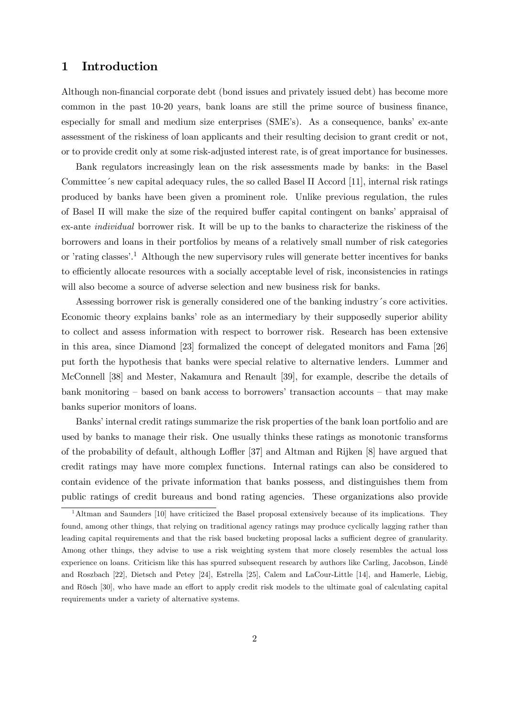### 1 Introduction

Although non-financial corporate debt (bond issues and privately issued debt) has become more common in the past 10-20 years, bank loans are still the prime source of business finance, especially for small and medium size enterprises (SME's). As a consequence, banks' ex-ante assessment of the riskiness of loan applicants and their resulting decision to grant credit or not, or to provide credit only at some risk-adjusted interest rate, is of great importance for businesses.

Bank regulators increasingly lean on the risk assessments made by banks: in the Basel Committee´s new capital adequacy rules, the so called Basel II Accord [11], internal risk ratings produced by banks have been given a prominent role. Unlike previous regulation, the rules of Basel II will make the size of the required buffer capital contingent on banks' appraisal of ex-ante individual borrower risk. It will be up to the banks to characterize the riskiness of the borrowers and loans in their portfolios by means of a relatively small number of risk categories or 'rating classes'.<sup>1</sup> Although the new supervisory rules will generate better incentives for banks to efficiently allocate resources with a socially acceptable level of risk, inconsistencies in ratings will also become a source of adverse selection and new business risk for banks.

Assessing borrower risk is generally considered one of the banking industry´s core activities. Economic theory explains banks' role as an intermediary by their supposedly superior ability to collect and assess information with respect to borrower risk. Research has been extensive in this area, since Diamond [23] formalized the concept of delegated monitors and Fama [26] put forth the hypothesis that banks were special relative to alternative lenders. Lummer and McConnell [38] and Mester, Nakamura and Renault [39], for example, describe the details of bank monitoring — based on bank access to borrowers' transaction accounts — that may make banks superior monitors of loans.

Banks' internal credit ratings summarize the risk properties of the bank loan portfolio and are used by banks to manage their risk. One usually thinks these ratings as monotonic transforms of the probability of default, although Loffler [37] and Altman and Rijken [8] have argued that credit ratings may have more complex functions. Internal ratings can also be considered to contain evidence of the private information that banks possess, and distinguishes them from public ratings of credit bureaus and bond rating agencies. These organizations also provide

<sup>&</sup>lt;sup>1</sup>Altman and Saunders [10] have criticized the Basel proposal extensively because of its implications. They found, among other things, that relying on traditional agency ratings may produce cyclically lagging rather than leading capital requirements and that the risk based bucketing proposal lacks a sufficient degree of granularity. Among other things, they advise to use a risk weighting system that more closely resembles the actual loss experience on loans. Criticism like this has spurred subsequent research by authors like Carling, Jacobson, Lindé and Roszbach [22], Dietsch and Petey [24], Estrella [25], Calem and LaCour-Little [14], and Hamerle, Liebig, and Rösch [30], who have made an effort to apply credit risk models to the ultimate goal of calculating capital requirements under a variety of alternative systems.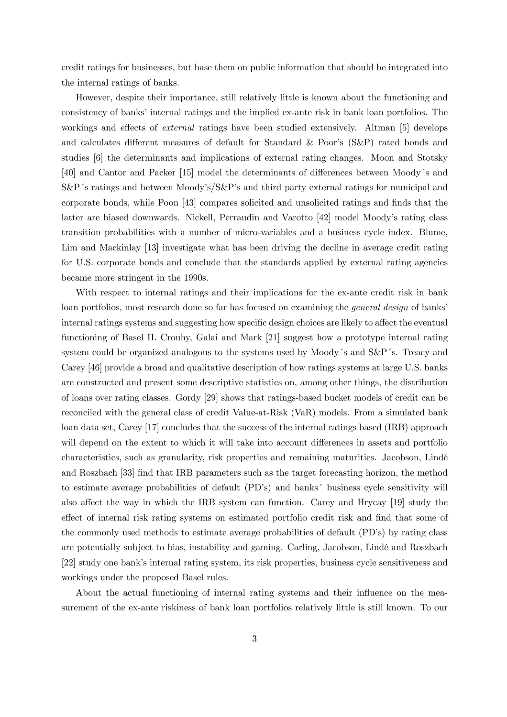credit ratings for businesses, but base them on public information that should be integrated into the internal ratings of banks.

However, despite their importance, still relatively little is known about the functioning and consistency of banks' internal ratings and the implied ex-ante risk in bank loan portfolios. The workings and effects of external ratings have been studied extensively. Altman [5] develops and calculates different measures of default for Standard & Poor's (S&P) rated bonds and studies [6] the determinants and implications of external rating changes. Moon and Stotsky [40] and Cantor and Packer [15] model the determinants of differences between Moody´s and S&P´s ratings and between Moody's/S&P's and third party external ratings for municipal and corporate bonds, while Poon [43] compares solicited and unsolicited ratings and finds that the latter are biased downwards. Nickell, Perraudin and Varotto [42] model Moody's rating class transition probabilities with a number of micro-variables and a business cycle index. Blume, Lim and Mackinlay [13] investigate what has been driving the decline in average credit rating for U.S. corporate bonds and conclude that the standards applied by external rating agencies became more stringent in the 1990s.

With respect to internal ratings and their implications for the ex-ante credit risk in bank loan portfolios, most research done so far has focused on examining the *general design* of banks' internal ratings systems and suggesting how specific design choices are likely to affect the eventual functioning of Basel II. Crouhy, Galai and Mark [21] suggest how a prototype internal rating system could be organized analogous to the systems used by Moody´s and S&P´s. Treacy and Carey [46] provide a broad and qualitative description of how ratings systems at large U.S. banks are constructed and present some descriptive statistics on, among other things, the distribution of loans over rating classes. Gordy [29] shows that ratings-based bucket models of credit can be reconciled with the general class of credit Value-at-Risk (VaR) models. From a simulated bank loan data set, Carey [17] concludes that the success of the internal ratings based (IRB) approach will depend on the extent to which it will take into account differences in assets and portfolio characteristics, such as granularity, risk properties and remaining maturities. Jacobson, Lindé and Roszbach [33] find that IRB parameters such as the target forecasting horizon, the method to estimate average probabilities of default (PD's) and banks´ business cycle sensitivity will also affect the way in which the IRB system can function. Carey and Hrycay [19] study the effect of internal risk rating systems on estimated portfolio credit risk and find that some of the commonly used methods to estimate average probabilities of default (PD's) by rating class are potentially subject to bias, instability and gaming. Carling, Jacobson, Lindé and Roszbach [22] study one bank's internal rating system, its risk properties, business cycle sensitiveness and workings under the proposed Basel rules.

About the actual functioning of internal rating systems and their influence on the measurement of the ex-ante riskiness of bank loan portfolios relatively little is still known. To our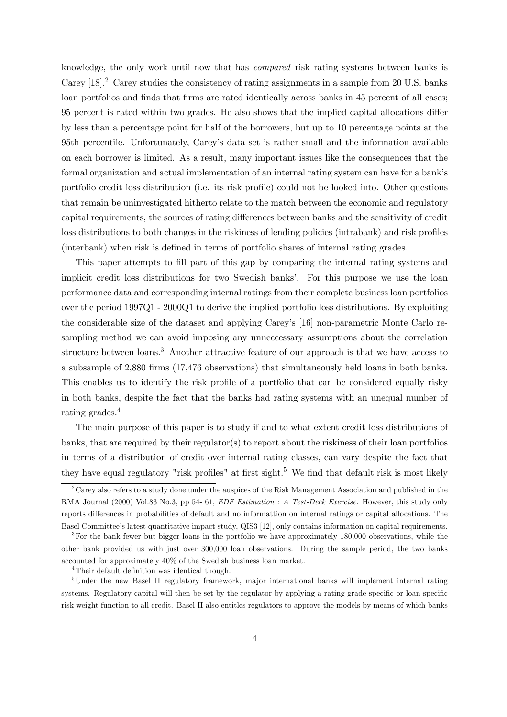knowledge, the only work until now that has compared risk rating systems between banks is Carey [18].<sup>2</sup> Carey studies the consistency of rating assignments in a sample from 20 U.S. banks loan portfolios and finds that firms are rated identically across banks in 45 percent of all cases; 95 percent is rated within two grades. He also shows that the implied capital allocations differ by less than a percentage point for half of the borrowers, but up to 10 percentage points at the 95th percentile. Unfortunately, Carey's data set is rather small and the information available on each borrower is limited. As a result, many important issues like the consequences that the formal organization and actual implementation of an internal rating system can have for a bank's portfolio credit loss distribution (i.e. its risk profile) could not be looked into. Other questions that remain be uninvestigated hitherto relate to the match between the economic and regulatory capital requirements, the sources of rating differences between banks and the sensitivity of credit loss distributions to both changes in the riskiness of lending policies (intrabank) and risk profiles (interbank) when risk is defined in terms of portfolio shares of internal rating grades.

This paper attempts to fill part of this gap by comparing the internal rating systems and implicit credit loss distributions for two Swedish banks'. For this purpose we use the loan performance data and corresponding internal ratings from their complete business loan portfolios over the period 1997Q1 - 2000Q1 to derive the implied portfolio loss distributions. By exploiting the considerable size of the dataset and applying Carey's [16] non-parametric Monte Carlo resampling method we can avoid imposing any unneccessary assumptions about the correlation structure between loans.<sup>3</sup> Another attractive feature of our approach is that we have access to a subsample of 2,880 firms (17,476 observations) that simultaneously held loans in both banks. This enables us to identify the risk profile of a portfolio that can be considered equally risky in both banks, despite the fact that the banks had rating systems with an unequal number of rating grades.<sup>4</sup>

The main purpose of this paper is to study if and to what extent credit loss distributions of banks, that are required by their regulator(s) to report about the riskiness of their loan portfolios in terms of a distribution of credit over internal rating classes, can vary despite the fact that they have equal regulatory "risk profiles" at first sight.<sup>5</sup> We find that default risk is most likely

 $2^2$ Carey also refers to a study done under the auspices of the Risk Management Association and published in the RMA Journal (2000) Vol.83 No.3, pp 54- 61, *EDF Estimation : A Test-Deck Exercise*. However, this study only reports differences in probabilities of default and no informattion on internal ratings or capital allocations. The Basel Committee's latest quantitative impact study, QIS3 [12], only contains information on capital requirements.

<sup>&</sup>lt;sup>3</sup>For the bank fewer but bigger loans in the portfolio we have approximately 180,000 observations, while the other bank provided us with just over 300,000 loan observations. During the sample period, the two banks accounted for approximately 40% of the Swedish business loan market.

<sup>&</sup>lt;sup>4</sup>Their default definition was identical though.

<sup>5</sup>Under the new Basel II regulatory framework, major international banks will implement internal rating systems. Regulatory capital will then be set by the regulator by applying a rating grade specific or loan specific risk weight function to all credit. Basel II also entitles regulators to approve the models by means of which banks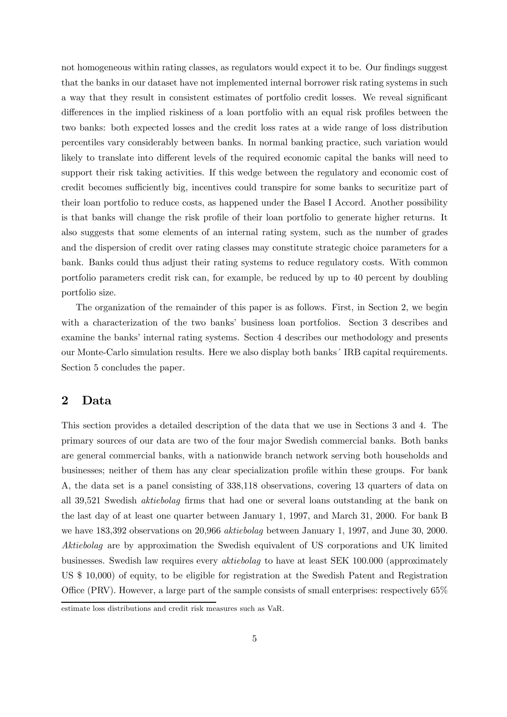not homogeneous within rating classes, as regulators would expect it to be. Our findings suggest that the banks in our dataset have not implemented internal borrower risk rating systems in such a way that they result in consistent estimates of portfolio credit losses. We reveal significant differences in the implied riskiness of a loan portfolio with an equal risk profiles between the two banks: both expected losses and the credit loss rates at a wide range of loss distribution percentiles vary considerably between banks. In normal banking practice, such variation would likely to translate into different levels of the required economic capital the banks will need to support their risk taking activities. If this wedge between the regulatory and economic cost of credit becomes sufficiently big, incentives could transpire for some banks to securitize part of their loan portfolio to reduce costs, as happened under the Basel I Accord. Another possibility is that banks will change the risk profile of their loan portfolio to generate higher returns. It also suggests that some elements of an internal rating system, such as the number of grades and the dispersion of credit over rating classes may constitute strategic choice parameters for a bank. Banks could thus adjust their rating systems to reduce regulatory costs. With common portfolio parameters credit risk can, for example, be reduced by up to 40 percent by doubling portfolio size.

The organization of the remainder of this paper is as follows. First, in Section 2, we begin with a characterization of the two banks' business loan portfolios. Section 3 describes and examine the banks' internal rating systems. Section 4 describes our methodology and presents our Monte-Carlo simulation results. Here we also display both banks´ IRB capital requirements. Section 5 concludes the paper.

### 2 Data

This section provides a detailed description of the data that we use in Sections 3 and 4. The primary sources of our data are two of the four major Swedish commercial banks. Both banks are general commercial banks, with a nationwide branch network serving both households and businesses; neither of them has any clear specialization profile within these groups. For bank A, the data set is a panel consisting of 338,118 observations, covering 13 quarters of data on all 39,521 Swedish aktiebolag firms that had one or several loans outstanding at the bank on the last day of at least one quarter between January 1, 1997, and March 31, 2000. For bank B we have 183,392 observations on 20,966 *aktiebolag* between January 1, 1997, and June 30, 2000. Aktiebolag are by approximation the Swedish equivalent of US corporations and UK limited businesses. Swedish law requires every aktiebolag to have at least SEK 100.000 (approximately US \$ 10,000) of equity, to be eligible for registration at the Swedish Patent and Registration Office (PRV). However, a large part of the sample consists of small enterprises: respectively 65%

estimate loss distributions and credit risk measures such as VaR.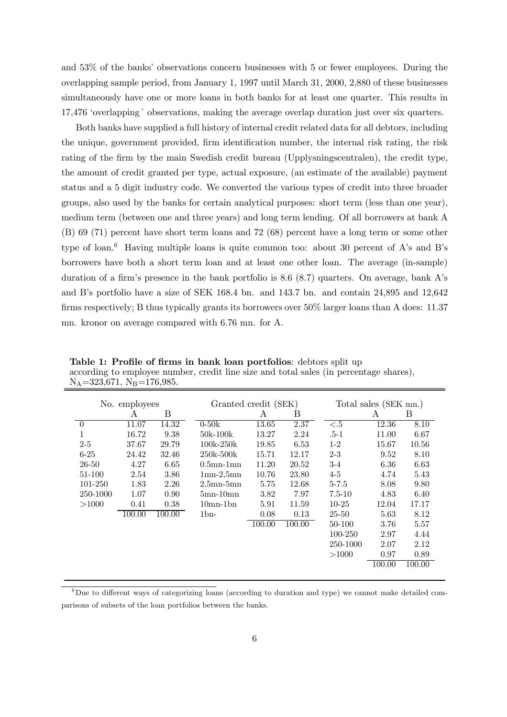and 53% of the banks' observations concern businesses with 5 or fewer employees. During the overlapping sample period, from January 1, 1997 until March 31, 2000, 2,880 of these businesses simultaneously have one or more loans in both banks for at least one quarter. This results in 17,476 'overlapping´ observations, making the average overlap duration just over six quarters.

Both banks have supplied a full history of internal credit related data for all debtors, including the unique, government provided, firm identification number, the internal risk rating, the risk rating of the firm by the main Swedish credit bureau (Upplysningscentralen), the credit type, the amount of credit granted per type, actual exposure, (an estimate of the available) payment status and a 5 digit industry code. We converted the various types of credit into three broader groups, also used by the banks for certain analytical purposes: short term (less than one year), medium term (between one and three years) and long term lending. Of all borrowers at bank A (B) 69 (71) percent have short term loans and 72 (68) percent have a long term or some other type of loan.<sup>6</sup> Having multiple loans is quite common too: about 30 percent of A's and B's borrowers have both a short term loan and at least one other loan. The average (in-sample) duration of a firm's presence in the bank portfolio is 8.6 (8.7) quarters. On average, bank A's and B's portfolio have a size of SEK 168.4 bn. and 143.7 bn. and contain 24,895 and 12,642 firms respectively; B thus typically grants its borrowers over 50% larger loans than A does: 11.37 mn. kronor on average compared with 6.76 mn. for A.

|           | No. employees |        | Granted credit (SEK) |        |        |            | Total sales (SEK mn.) |        |  |  |  |
|-----------|---------------|--------|----------------------|--------|--------|------------|-----------------------|--------|--|--|--|
|           | A             | B      |                      | А      | Β      |            | A                     | Β      |  |  |  |
| $\Omega$  | 11.07         | 14.32  | $0-50k$              | 13.65  | 2.37   | ${<}.5$    | 12.36                 | 8.10   |  |  |  |
| 1         | 16.72         | 9.38   | $50k - 100k$         | 13.27  | 2.24   | $.5-1$     | 11.00                 | 6.67   |  |  |  |
| $2 - 5$   | 37.67         | 29.79  | $100k - 250k$        | 19.85  | 6.53   | $1 - 2$    | 15.67                 | 10.56  |  |  |  |
| $6 - 25$  | 24.42         | 32.46  | $250k - 500k$        | 15.71  | 12.17  | $2 - 3$    | 9.52                  | 8.10   |  |  |  |
| $26 - 50$ | 4.27          | 6.65   | $0.5$ mn- $1$ mn     | 11.20  | 20.52  | $3-4$      | 6.36                  | 6.63   |  |  |  |
| 51-100    | 2.54          | 3.86   | $1mn-2,5mn$          | 10.76  | 23.80  | $4-5$      | 4.74                  | 5.43   |  |  |  |
| 101-250   | 1.83          | 2.26   | $2,5$ mn- $5$ mn     | 5.75   | 12.68  | $5 - 7.5$  | 8.08                  | 9.80   |  |  |  |
| 250-1000  | 1.07          | 0.90   | $5mn-10mn$           | 3.82   | 7.97   | $7.5 - 10$ | 4.83                  | 6.40   |  |  |  |
| >1000     | 0.41          | 0.38   | $10mn-1bn$           | 5.91   | 11.59  | $10-25$    | 12.04                 | 17.17  |  |  |  |
|           | 100.00        | 100.00 | $1bn-$               | 0.08   | 0.13   | $25 - 50$  | 5.63                  | 8.12   |  |  |  |
|           |               |        |                      | 100.00 | 100.00 | 50-100     | 3.76                  | 5.57   |  |  |  |
|           |               |        |                      |        |        | 100-250    | 2.97                  | 4.44   |  |  |  |
|           |               |        |                      |        |        | 250-1000   | 2.07                  | 2.12   |  |  |  |
|           |               |        |                      |        |        | >1000      | 0.97                  | 0.89   |  |  |  |
|           |               |        |                      |        |        |            | 100.00                | 100.00 |  |  |  |

Table 1: Profile of firms in bank loan portfolios: debtors split up according to employee number, credit line size and total sales (in percentage shares),  $N_A=323,671, N_B=176,985.$ 

 $6$ Due to different ways of categorizing loans (according to duration and type) we cannot make detailed comparisons of subsets of the loan portfolios between the banks.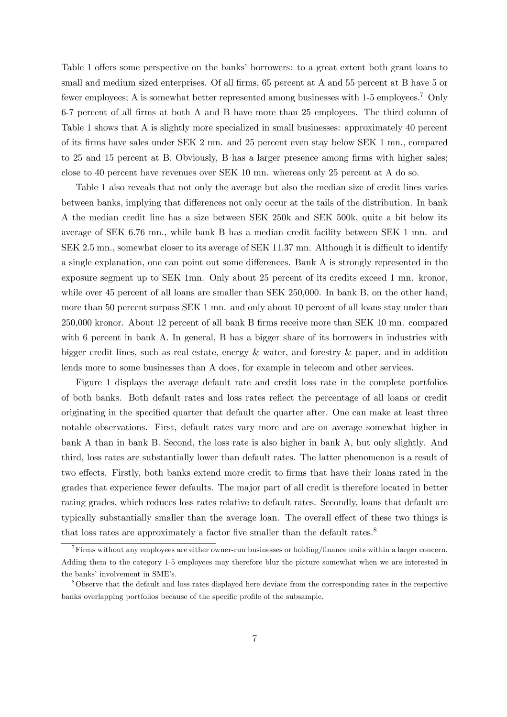Table 1 offers some perspective on the banks' borrowers: to a great extent both grant loans to small and medium sized enterprises. Of all firms, 65 percent at A and 55 percent at B have 5 or fewer employees; A is somewhat better represented among businesses with 1-5 employees.7 Only 6-7 percent of all firms at both A and B have more than 25 employees. The third column of Table 1 shows that A is slightly more specialized in small businesses: approximately 40 percent of its firms have sales under SEK 2 mn. and 25 percent even stay below SEK 1 mn., compared to 25 and 15 percent at B. Obviously, B has a larger presence among firms with higher sales; close to 40 percent have revenues over SEK 10 mn. whereas only 25 percent at A do so.

Table 1 also reveals that not only the average but also the median size of credit lines varies between banks, implying that differences not only occur at the tails of the distribution. In bank A the median credit line has a size between SEK 250k and SEK 500k, quite a bit below its average of SEK 6.76 mn., while bank B has a median credit facility between SEK 1 mn. and SEK 2.5 mn., somewhat closer to its average of SEK 11.37 mn. Although it is difficult to identify a single explanation, one can point out some differences. Bank A is strongly represented in the exposure segment up to SEK 1mn. Only about 25 percent of its credits exceed 1 mn. kronor, while over 45 percent of all loans are smaller than SEK 250,000. In bank B, on the other hand, more than 50 percent surpass SEK 1 mn. and only about 10 percent of all loans stay under than 250,000 kronor. About 12 percent of all bank B firms receive more than SEK 10 mn. compared with 6 percent in bank A. In general, B has a bigger share of its borrowers in industries with bigger credit lines, such as real estate, energy & water, and forestry & paper, and in addition lends more to some businesses than A does, for example in telecom and other services.

Figure 1 displays the average default rate and credit loss rate in the complete portfolios of both banks. Both default rates and loss rates reflect the percentage of all loans or credit originating in the specified quarter that default the quarter after. One can make at least three notable observations. First, default rates vary more and are on average somewhat higher in bank A than in bank B. Second, the loss rate is also higher in bank A, but only slightly. And third, loss rates are substantially lower than default rates. The latter phenomenon is a result of two effects. Firstly, both banks extend more credit to firms that have their loans rated in the grades that experience fewer defaults. The major part of all credit is therefore located in better rating grades, which reduces loss rates relative to default rates. Secondly, loans that default are typically substantially smaller than the average loan. The overall effect of these two things is that loss rates are approximately a factor five smaller than the default rates.<sup>8</sup>

 $^{7}$ Firms without any employees are either owner-run businesses or holding/finance units within a larger concern. Adding them to the category 1-5 employees may therefore blur the picture somewhat when we are interested in the banks' involvement in SME's.

<sup>8</sup>Observe that the default and loss rates displayed here deviate from the corresponding rates in the respective banks overlapping portfolios because of the specific profile of the subsample.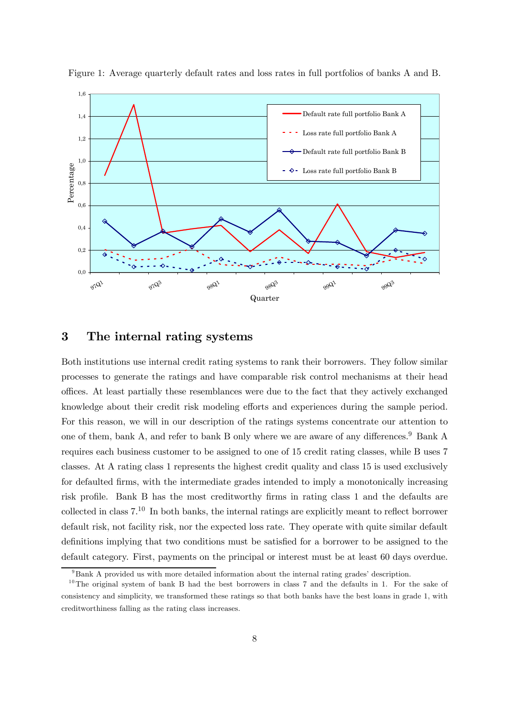

Figure 1: Average quarterly default rates and loss rates in full portfolios of banks A and B.

## 3 The internal rating systems

Both institutions use internal credit rating systems to rank their borrowers. They follow similar processes to generate the ratings and have comparable risk control mechanisms at their head offices. At least partially these resemblances were due to the fact that they actively exchanged knowledge about their credit risk modeling efforts and experiences during the sample period. For this reason, we will in our description of the ratings systems concentrate our attention to one of them, bank A, and refer to bank B only where we are aware of any differences.9 Bank A requires each business customer to be assigned to one of 15 credit rating classes, while B uses 7 classes. At A rating class 1 represents the highest credit quality and class 15 is used exclusively for defaulted firms, with the intermediate grades intended to imply a monotonically increasing risk profile. Bank B has the most creditworthy firms in rating class 1 and the defaults are collected in class 7.10 In both banks, the internal ratings are explicitly meant to reflect borrower default risk, not facility risk, nor the expected loss rate. They operate with quite similar default definitions implying that two conditions must be satisfied for a borrower to be assigned to the default category. First, payments on the principal or interest must be at least 60 days overdue.

 $98R<sup>9</sup>$ Bank A provided us with more detailed information about the internal rating grades' description.

 $10$ The original system of bank B had the best borrowers in class 7 and the defaults in 1. For the sake of consistency and simplicity, we transformed these ratings so that both banks have the best loans in grade 1, with creditworthiness falling as the rating class increases.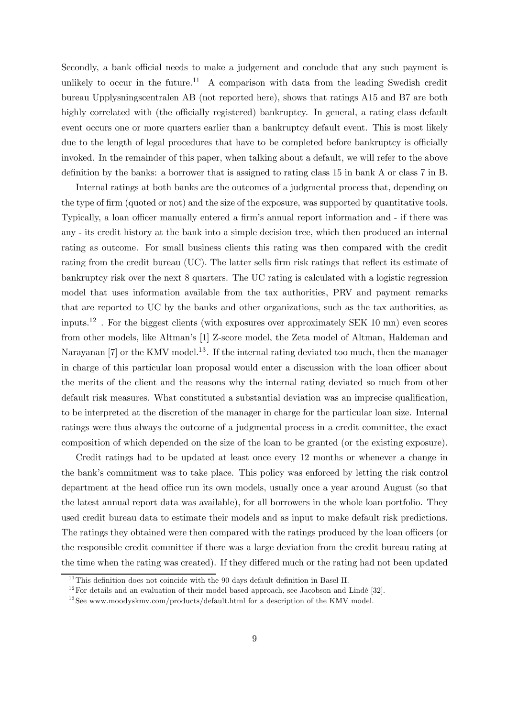Secondly, a bank official needs to make a judgement and conclude that any such payment is unlikely to occur in the future.<sup>11</sup> A comparison with data from the leading Swedish credit bureau Upplysningscentralen AB (not reported here), shows that ratings A15 and B7 are both highly correlated with (the officially registered) bankruptcy. In general, a rating class default event occurs one or more quarters earlier than a bankruptcy default event. This is most likely due to the length of legal procedures that have to be completed before bankruptcy is officially invoked. In the remainder of this paper, when talking about a default, we will refer to the above definition by the banks: a borrower that is assigned to rating class 15 in bank A or class 7 in B.

Internal ratings at both banks are the outcomes of a judgmental process that, depending on the type of firm (quoted or not) and the size of the exposure, was supported by quantitative tools. Typically, a loan officer manually entered a firm's annual report information and - if there was any - its credit history at the bank into a simple decision tree, which then produced an internal rating as outcome. For small business clients this rating was then compared with the credit rating from the credit bureau (UC). The latter sells firm risk ratings that reflect its estimate of bankruptcy risk over the next 8 quarters. The UC rating is calculated with a logistic regression model that uses information available from the tax authorities, PRV and payment remarks that are reported to UC by the banks and other organizations, such as the tax authorities, as inputs.12 . For the biggest clients (with exposures over approximately SEK 10 mn) even scores from other models, like Altman's [1] Z-score model, the Zeta model of Altman, Haldeman and Narayanan [7] or the KMV model.<sup>13</sup>. If the internal rating deviated too much, then the manager in charge of this particular loan proposal would enter a discussion with the loan officer about the merits of the client and the reasons why the internal rating deviated so much from other default risk measures. What constituted a substantial deviation was an imprecise qualification, to be interpreted at the discretion of the manager in charge for the particular loan size. Internal ratings were thus always the outcome of a judgmental process in a credit committee, the exact composition of which depended on the size of the loan to be granted (or the existing exposure).

Credit ratings had to be updated at least once every 12 months or whenever a change in the bank's commitment was to take place. This policy was enforced by letting the risk control department at the head office run its own models, usually once a year around August (so that the latest annual report data was available), for all borrowers in the whole loan portfolio. They used credit bureau data to estimate their models and as input to make default risk predictions. The ratings they obtained were then compared with the ratings produced by the loan officers (or the responsible credit committee if there was a large deviation from the credit bureau rating at the time when the rating was created). If they differed much or the rating had not been updated

 $11$ This definition does not coincide with the 90 days default definition in Basel II.

 $12$  For details and an evaluation of their model based approach, see Jacobson and Lindé [32].

 $13$ See www.moodyskmv.com/products/default.html for a description of the KMV model.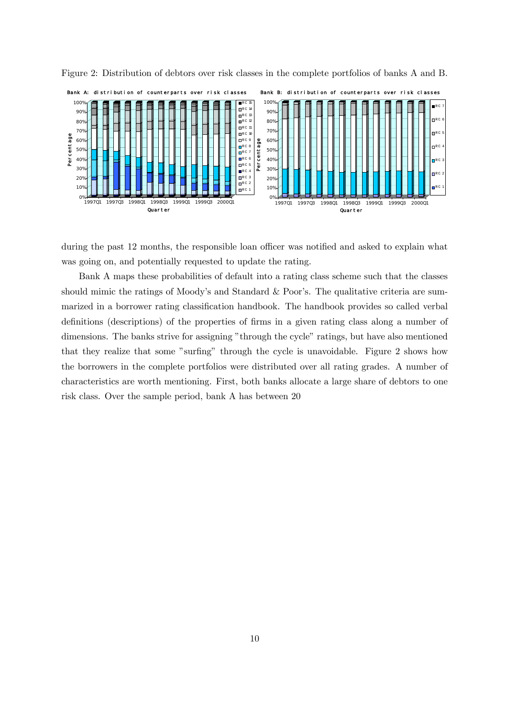

Figure 2: Distribution of debtors over risk classes in the complete portfolios of banks A and B.

during the past 12 months, the responsible loan officer was notified and asked to explain what was going on, and potentially requested to update the rating.

Bank A maps these probabilities of default into a rating class scheme such that the classes should mimic the ratings of Moody's and Standard & Poor's. The qualitative criteria are summarized in a borrower rating classification handbook. The handbook provides so called verbal definitions (descriptions) of the properties of firms in a given rating class along a number of dimensions. The banks strive for assigning "through the cycle" ratings, but have also mentioned that they realize that some "surfing" through the cycle is unavoidable. Figure 2 shows how the borrowers in the complete portfolios were distributed over all rating grades. A number of characteristics are worth mentioning. First, both banks allocate a large share of debtors to one risk class. Over the sample period, bank A has between 20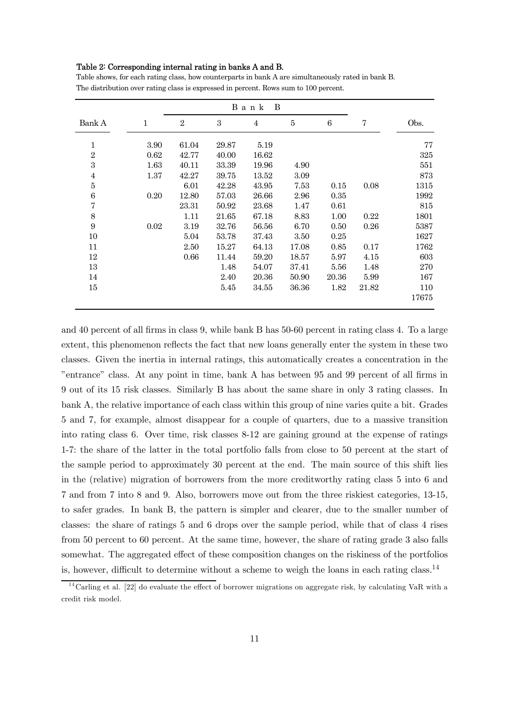### Table 2: Corresponding internal rating in banks A and B.

|                  |              |                |       | B<br>B a n k   |       |       |       |              |
|------------------|--------------|----------------|-------|----------------|-------|-------|-------|--------------|
| Bank A           | $\mathbf{1}$ | $\overline{2}$ | 3     | $\overline{4}$ | 5     | 6     | 7     | Obs.         |
| $\mathbf{1}$     | 3.90         | 61.04          | 29.87 | 5.19           |       |       |       | 77           |
| $\sqrt{2}$       | 0.62         | 42.77          | 40.00 | 16.62          |       |       |       | 325          |
| 3                | 1.63         | 40.11          | 33.39 | 19.96          | 4.90  |       |       | 551          |
| $\overline{4}$   | 1.37         | 42.27          | 39.75 | 13.52          | 3.09  |       |       | 873          |
| $\bf 5$          |              | 6.01           | 42.28 | 43.95          | 7.53  | 0.15  | 0.08  | 1315         |
| $\,6$            | 0.20         | 12.80          | 57.03 | 26.66          | 2.96  | 0.35  |       | 1992         |
| $\overline{7}$   |              | 23.31          | 50.92 | 23.68          | 1.47  | 0.61  |       | 815          |
| 8                |              | 1.11           | 21.65 | 67.18          | 8.83  | 1.00  | 0.22  | 1801         |
| $\boldsymbol{9}$ | 0.02         | 3.19           | 32.76 | 56.56          | 6.70  | 0.50  | 0.26  | 5387         |
| 10               |              | 5.04           | 53.78 | 37.43          | 3.50  | 0.25  |       | 1627         |
| 11               |              | 2.50           | 15.27 | 64.13          | 17.08 | 0.85  | 0.17  | 1762         |
| 12               |              | 0.66           | 11.44 | 59.20          | 18.57 | 5.97  | 4.15  | 603          |
| 13               |              |                | 1.48  | 54.07          | 37.41 | 5.56  | 1.48  | 270          |
| 14               |              |                | 2.40  | 20.36          | 50.90 | 20.36 | 5.99  | 167          |
| 15               |              |                | 5.45  | 34.55          | 36.36 | 1.82  | 21.82 | 110<br>17675 |

Table shows, for each rating class, how counterparts in bank A are simultaneously rated in bank B. The distribution over rating class is expressed in percent. Rows sum to 100 percent.

and 40 percent of all firms in class 9, while bank B has 50-60 percent in rating class 4. To a large extent, this phenomenon reflects the fact that new loans generally enter the system in these two classes. Given the inertia in internal ratings, this automatically creates a concentration in the "entrance" class. At any point in time, bank A has between 95 and 99 percent of all firms in 9 out of its 15 risk classes. Similarly B has about the same share in only 3 rating classes. In bank A, the relative importance of each class within this group of nine varies quite a bit. Grades 5 and 7, for example, almost disappear for a couple of quarters, due to a massive transition into rating class 6. Over time, risk classes 8-12 are gaining ground at the expense of ratings 1-7: the share of the latter in the total portfolio falls from close to 50 percent at the start of the sample period to approximately 30 percent at the end. The main source of this shift lies in the (relative) migration of borrowers from the more creditworthy rating class 5 into 6 and 7 and from 7 into 8 and 9. Also, borrowers move out from the three riskiest categories, 13-15, to safer grades. In bank B, the pattern is simpler and clearer, due to the smaller number of classes: the share of ratings 5 and 6 drops over the sample period, while that of class 4 rises from 50 percent to 60 percent. At the same time, however, the share of rating grade 3 also falls somewhat. The aggregated effect of these composition changes on the riskiness of the portfolios is, however, difficult to determine without a scheme to weigh the loans in each rating class.<sup>14</sup>

 $14$ Carling et al. [22] do evaluate the effect of borrower migrations on aggregate risk, by calculating VaR with a credit risk model.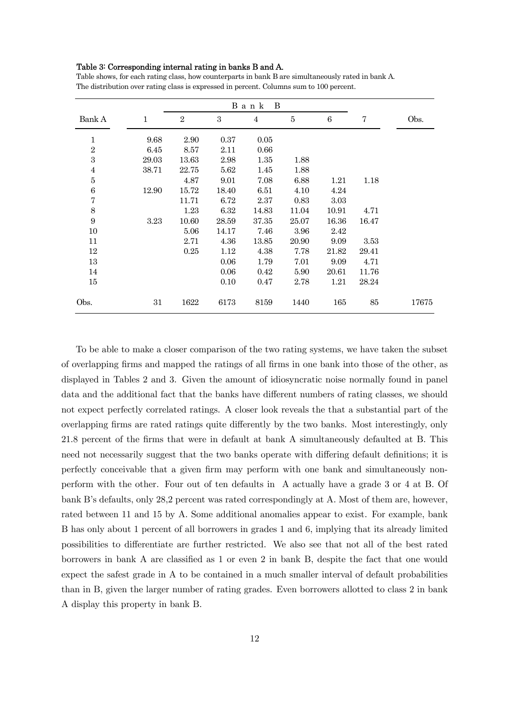### Table 3: Corresponding internal rating in banks B and A.

|                  |              |            |       | B a n k<br>B   |                |                 |       |       |
|------------------|--------------|------------|-------|----------------|----------------|-----------------|-------|-------|
| Bank A           | $\mathbf{1}$ | $\sqrt{2}$ | 3     | $\overline{4}$ | $\overline{5}$ | $6\phantom{1}6$ | 7     | Obs.  |
| $\mathbf{1}$     | 9.68         | 2.90       | 0.37  | 0.05           |                |                 |       |       |
| $\sqrt{2}$       | 6.45         | 8.57       | 2.11  | 0.66           |                |                 |       |       |
| $\,3\,$          | 29.03        | 13.63      | 2.98  | 1.35           | 1.88           |                 |       |       |
| $\,4\,$          | 38.71        | 22.75      | 5.62  | 1.45           | 1.88           |                 |       |       |
| $\bf 5$          |              | 4.87       | 9.01  | 7.08           | 6.88           | 1.21            | 1.18  |       |
| $\,6\,$          | 12.90        | 15.72      | 18.40 | 6.51           | 4.10           | 4.24            |       |       |
| 7                |              | 11.71      | 6.72  | 2.37           | 0.83           | 3.03            |       |       |
| $8\,$            |              | 1.23       | 6.32  | 14.83          | 11.04          | 10.91           | 4.71  |       |
| $\boldsymbol{9}$ | 3.23         | 10.60      | 28.59 | 37.35          | 25.07          | 16.36           | 16.47 |       |
| 10               |              | 5.06       | 14.17 | 7.46           | 3.96           | 2.42            |       |       |
| 11               |              | 2.71       | 4.36  | 13.85          | 20.90          | 9.09            | 3.53  |       |
| 12               |              | 0.25       | 1.12  | 4.38           | 7.78           | 21.82           | 29.41 |       |
| 13               |              |            | 0.06  | 1.79           | 7.01           | 9.09            | 4.71  |       |
| 14               |              |            | 0.06  | 0.42           | 5.90           | 20.61           | 11.76 |       |
| 15               |              |            | 0.10  | 0.47           | 2.78           | 1.21            | 28.24 |       |
| Obs.             | 31           | 1622       | 6173  | 8159           | 1440           | 165             | 85    | 17675 |

Table shows, for each rating class, how counterparts in bank B are simultaneously rated in bank A. The distribution over rating class is expressed in percent. Columns sum to 100 percent.

To be able to make a closer comparison of the two rating systems, we have taken the subset of overlapping firms and mapped the ratings of all firms in one bank into those of the other, as displayed in Tables 2 and 3. Given the amount of idiosyncratic noise normally found in panel data and the additional fact that the banks have different numbers of rating classes, we should not expect perfectly correlated ratings. A closer look reveals the that a substantial part of the overlapping firms are rated ratings quite differently by the two banks. Most interestingly, only 21.8 percent of the firms that were in default at bank A simultaneously defaulted at B. This need not necessarily suggest that the two banks operate with differing default definitions; it is perfectly conceivable that a given firm may perform with one bank and simultaneously nonperform with the other. Four out of ten defaults in A actually have a grade 3 or 4 at B. Of bank B's defaults, only 28,2 percent was rated correspondingly at A. Most of them are, however, rated between 11 and 15 by A. Some additional anomalies appear to exist. For example, bank B has only about 1 percent of all borrowers in grades 1 and 6, implying that its already limited possibilities to differentiate are further restricted. We also see that not all of the best rated borrowers in bank A are classified as 1 or even 2 in bank B, despite the fact that one would expect the safest grade in A to be contained in a much smaller interval of default probabilities than in B, given the larger number of rating grades. Even borrowers allotted to class 2 in bank A display this property in bank B.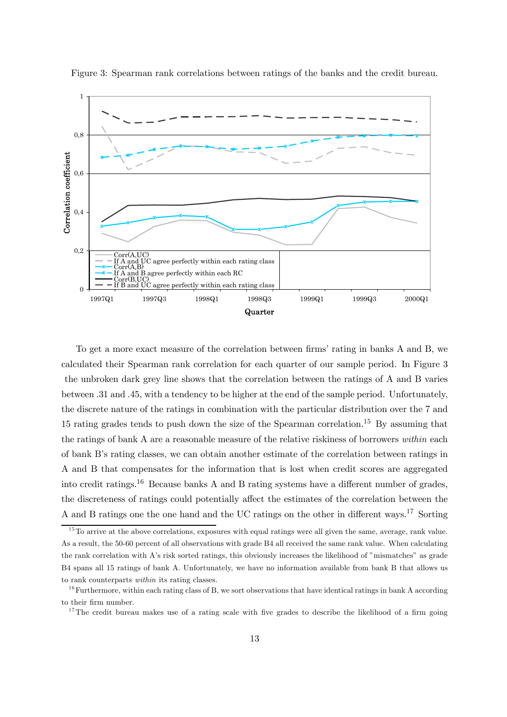

Figure 3: Spearman rank correlations between ratings of the banks and the credit bureau.

To get a more exact measure of the correlation between firms' rating in banks A and B, we calculated their Spearman rank correlation for each quarter of our sample period. In Figure 3 the unbroken dark grey line shows that the correlation between the ratings of A and B varies between .31 and .45, with a tendency to be higher at the end of the sample period. Unfortunately, the discrete nature of the ratings in combination with the particular distribution over the 7 and 15 rating grades tends to push down the size of the Spearman correlation.15 By assuming that the ratings of bank A are a reasonable measure of the relative riskiness of borrowers within each of bank B's rating classes, we can obtain another estimate of the correlation between ratings in A and B that compensates for the information that is lost when credit scores are aggregated into credit ratings.16 Because banks A and B rating systems have a different number of grades, the discreteness of ratings could potentially affect the estimates of the correlation between the A and B ratings one the one hand and the UC ratings on the other in different ways.17 Sorting

 $15$ To arrive at the above correlations, exposures with equal ratings were all given the same, average, rank value. As a result, the 50-60 percent of all observations with grade B4 all received the same rank value. When calculating the rank correlation with A's risk sorted ratings, this obviously increases the likelihood of "mismatches" as grade B4 spans all 15 ratings of bank A. Unfortunately, we have no information available from bank B that allows us to rank counterparts within its rating classes.

 $16$  Furthermore, within each rating class of B, we sort observations that have identical ratings in bank A according to their firm number.

 $17$ The credit bureau makes use of a rating scale with five grades to describe the likelihood of a firm going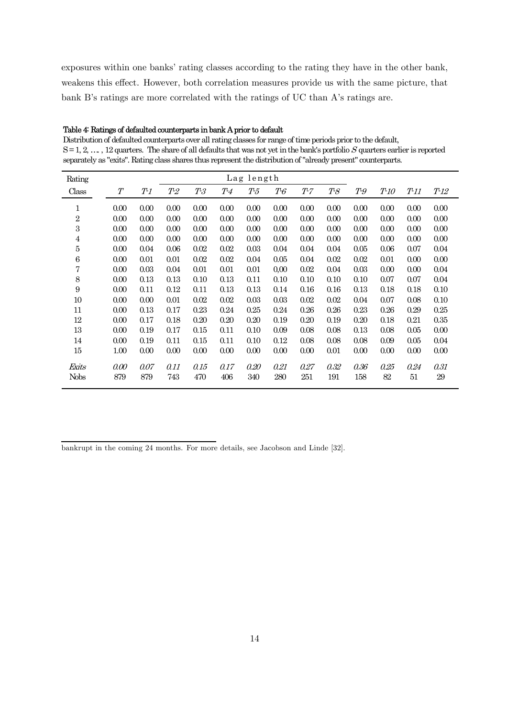exposures within one banks' rating classes according to the rating they have in the other bank, weakens this effect. However, both correlation measures provide us with the same picture, that bank B's ratings are more correlated with the ratings of UC than A's ratings are.

### Table 4: Ratings of defaulted counterparts in bank A prior to default

Distribution of defaulted counterparts over all rating classes for range of time periods prior to the default,  $S = 1, 2, \ldots$ , 12 quarters. The share of all defaults that was not yet in the bank's portfolio S quarters earlier is reported separately as "exits". Rating class shares thus represent the distribution of "already present" counterparts.

| Rating           |                  |                |                |      |                |                |                |                |      |      |        |                 |        |
|------------------|------------------|----------------|----------------|------|----------------|----------------|----------------|----------------|------|------|--------|-----------------|--------|
| Class            | $\scriptstyle T$ | T <sub>1</sub> | T <sub>2</sub> | T3   | T <sub>4</sub> | T <sub>5</sub> | T <sub>6</sub> | T <sub>7</sub> | T8   | T9   | $T-10$ | T <sub>11</sub> | $T-12$ |
| $\mathbf{1}$     | 0.00             | 0.00           | 0.00           | 0.00 | 0.00           | 0.00           | 0.00           | 0.00           | 0.00 | 0.00 | 0.00   | 0.00            | 0.00   |
| $\boldsymbol{2}$ | 0.00             | 0.00           | 0.00           | 0.00 | 0.00           | 0.00           | 0.00           | 0.00           | 0.00 | 0.00 | 0.00   | 0.00            | 0.00   |
| 3                | 0.00             | 0.00           | 0.00           | 0.00 | 0.00           | 0.00           | 0.00           | 0.00           | 0.00 | 0.00 | 0.00   | 0.00            | 0.00   |
| $\,4\,$          | 0.00             | 0.00           | 0.00           | 0.00 | 0.00           | 0.00           | 0.00           | 0.00           | 0.00 | 0.00 | 0.00   | 0.00            | 0.00   |
| 5                | 0.00             | 0.04           | 0.06           | 0.02 | 0.02           | 0.03           | 0.04           | 0.04           | 0.04 | 0.05 | 0.06   | 0.07            | 0.04   |
| 6                | 0.00             | 0.01           | 0.01           | 0.02 | 0.02           | 0.04           | 0.05           | 0.04           | 0.02 | 0.02 | 0.01   | 0.00            | 0.00   |
| 7                | 0.00             | 0.03           | 0.04           | 0.01 | 0.01           | 0.01           | 0,00           | 0.02           | 0.04 | 0.03 | 0.00   | 0.00            | 0.04   |
| 8                | 0.00             | 0.13           | 0.13           | 0.10 | 0.13           | 0.11           | 0.10           | 0.10           | 0.10 | 0.10 | 0.07   | 0.07            | 0.04   |
| 9                | 0.00             | 0.11           | 0.12           | 0.11 | 0.13           | 0.13           | 0.14           | 0.16           | 0.16 | 0.13 | 0.18   | 0.18            | 0.10   |
| 10               | 0.00             | 0.00           | 0.01           | 0.02 | 0.02           | 0.03           | 0.03           | 0.02           | 0.02 | 0.04 | 0.07   | 0.08            | 0.10   |
| 11               | 0.00             | 0.13           | 0.17           | 0.23 | 0.24           | 0.25           | 0.24           | 0.26           | 0.26 | 0.23 | 0.26   | 0.29            | 0.25   |
| 12               | 0.00             | 0.17           | 0.18           | 0.20 | 0.20           | 0.20           | 0.19           | 0.20           | 0.19 | 0.20 | 0.18   | 0.21            | 0.35   |
| 13               | 0.00             | 0.19           | 0.17           | 0.15 | 0.11           | 0.10           | 0.09           | 0.08           | 0.08 | 0.13 | 0.08   | 0.05            | 0.00   |
| 14               | 0.00             | 0.19           | 0.11           | 0.15 | 0.11           | 0.10           | 0.12           | 0.08           | 0.08 | 0.08 | 0.09   | 0.05            | 0.04   |
| 15               | 1.00             | 0.00           | 0.00           | 0.00 | 0.00           | 0.00           | 0.00           | 0.00           | 0.01 | 0.00 | 0.00   | 0.00            | 0.00   |
| Exits            | 0.00             | 0.07           | 0.11           | 0.15 | 0.17           | 0.20           | 0.21           | 0.27           | 0.32 | 0.36 | 0.25   | 0.24            | 0.31   |
| <b>Nobs</b>      | 879              | 879            | 743            | 470  | 406            | 340            | 280            | 251            | 191  | 158  | 82     | 51              | 29     |

bankrupt in the coming 24 months. For more details, see Jacobson and Linde [32].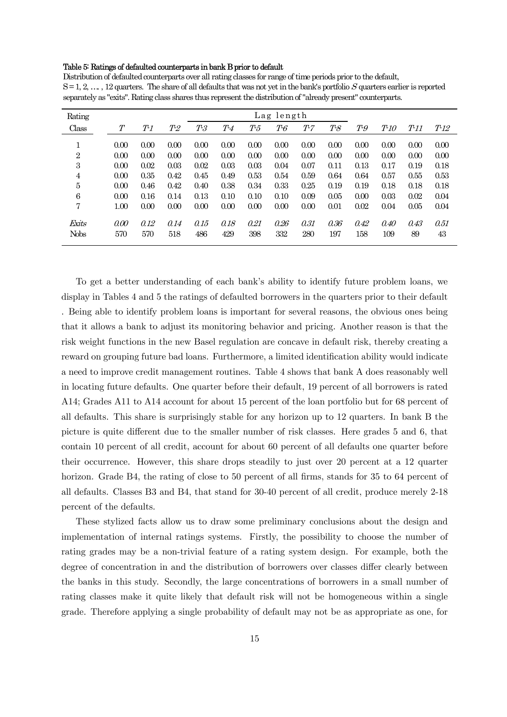### Table 5: Ratings of defaulted counterparts in bank B prior to default

| Distribution of defaulted counterparts over all rating classes for range of time periods prior to the default,                    |
|-----------------------------------------------------------------------------------------------------------------------------------|
| $S=1, 2, \ldots$ , 12 quarters. The share of all defaults that was not yet in the bank's portfolio S quarters earlier is reported |
| separately as "exits". Rating class shares thus represent the distribution of "already present" counterparts.                     |

| Rating           |      |                |      |      |                |      |      |                |      |      |                 |                 |                 |
|------------------|------|----------------|------|------|----------------|------|------|----------------|------|------|-----------------|-----------------|-----------------|
| Class            | T    | T <sub>1</sub> | T2   | T3   | T <sub>4</sub> | T5   | T-6  | T <sub>7</sub> | T8   | T.9  | T <sub>10</sub> | T <sub>11</sub> | T <sub>12</sub> |
|                  | 0.00 | 0.00           | 0.00 | 0.00 | 0.00           | 0.00 | 0.00 | 0.00           | 0.00 | 0.00 | 0.00            | 0.00            | 0.00            |
| $\boldsymbol{2}$ | 0.00 | 0.00           | 0.00 | 0.00 | 0.00           | 0.00 | 0.00 | 0.00           | 0.00 | 0.00 | 0.00            | 0.00            | 0.00            |
| 3                | 0.00 | 0.02           | 0.03 | 0.02 | 0.03           | 0.03 | 0.04 | 0.07           | 0.11 | 0.13 | 0.17            | 0.19            | 0.18            |
| 4                | 0.00 | 0.35           | 0.42 | 0.45 | 0.49           | 0.53 | 0.54 | 0.59           | 0.64 | 0.64 | 0.57            | 0.55            | 0.53            |
| 5                | 0.00 | 0.46           | 0.42 | 0.40 | 0.38           | 0.34 | 0.33 | 0.25           | 0.19 | 0.19 | 0.18            | 0.18            | 0.18            |
| 6                | 0.00 | 0.16           | 0.14 | 0.13 | 0.10           | 0.10 | 0.10 | 0.09           | 0.05 | 0.00 | 0.03            | 0.02            | 0.04            |
| 7                | 1.00 | 0.00           | 0.00 | 0.00 | 0.00           | 0.00 | 0.00 | 0.00           | 0.01 | 0.02 | 0.04            | 0.05            | 0.04            |
| Exits            | 0.00 | 0.12           | 0.14 | 0.15 | 0.18           | 0.21 | 0.26 | 0.31           | 0.36 | 0.42 | 0.40            | 0.43            | 0.51            |
| <b>Nobs</b>      | 570  | 570            | 518  | 486  | 429            | 398  | 332  | 280            | 197  | 158  | 109             | 89              | 43              |

To get a better understanding of each bank's ability to identify future problem loans, we display in Tables 4 and 5 the ratings of defaulted borrowers in the quarters prior to their default . Being able to identify problem loans is important for several reasons, the obvious ones being that it allows a bank to adjust its monitoring behavior and pricing. Another reason is that the risk weight functions in the new Basel regulation are concave in default risk, thereby creating a reward on grouping future bad loans. Furthermore, a limited identification ability would indicate a need to improve credit management routines. Table 4 shows that bank A does reasonably well in locating future defaults. One quarter before their default, 19 percent of all borrowers is rated A14; Grades A11 to A14 account for about 15 percent of the loan portfolio but for 68 percent of all defaults. This share is surprisingly stable for any horizon up to 12 quarters. In bank B the picture is quite different due to the smaller number of risk classes. Here grades 5 and 6, that contain 10 percent of all credit, account for about 60 percent of all defaults one quarter before their occurrence. However, this share drops steadily to just over 20 percent at a 12 quarter horizon. Grade B4, the rating of close to 50 percent of all firms, stands for 35 to 64 percent of all defaults. Classes B3 and B4, that stand for 30-40 percent of all credit, produce merely 2-18 percent of the defaults.

These stylized facts allow us to draw some preliminary conclusions about the design and implementation of internal ratings systems. Firstly, the possibility to choose the number of rating grades may be a non-trivial feature of a rating system design. For example, both the degree of concentration in and the distribution of borrowers over classes differ clearly between the banks in this study. Secondly, the large concentrations of borrowers in a small number of rating classes make it quite likely that default risk will not be homogeneous within a single grade. Therefore applying a single probability of default may not be as appropriate as one, for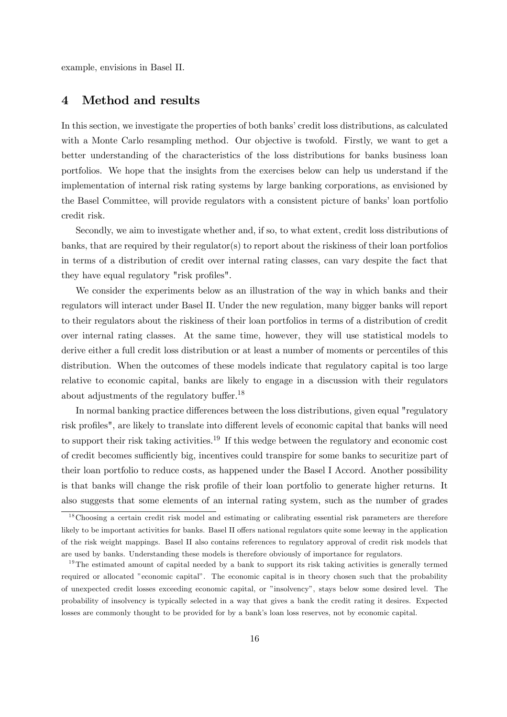example, envisions in Basel II.

### 4 Method and results

In this section, we investigate the properties of both banks' credit loss distributions, as calculated with a Monte Carlo resampling method. Our objective is twofold. Firstly, we want to get a better understanding of the characteristics of the loss distributions for banks business loan portfolios. We hope that the insights from the exercises below can help us understand if the implementation of internal risk rating systems by large banking corporations, as envisioned by the Basel Committee, will provide regulators with a consistent picture of banks' loan portfolio credit risk.

Secondly, we aim to investigate whether and, if so, to what extent, credit loss distributions of banks, that are required by their regulator(s) to report about the riskiness of their loan portfolios in terms of a distribution of credit over internal rating classes, can vary despite the fact that they have equal regulatory "risk profiles".

We consider the experiments below as an illustration of the way in which banks and their regulators will interact under Basel II. Under the new regulation, many bigger banks will report to their regulators about the riskiness of their loan portfolios in terms of a distribution of credit over internal rating classes. At the same time, however, they will use statistical models to derive either a full credit loss distribution or at least a number of moments or percentiles of this distribution. When the outcomes of these models indicate that regulatory capital is too large relative to economic capital, banks are likely to engage in a discussion with their regulators about adjustments of the regulatory buffer.18

In normal banking practice differences between the loss distributions, given equal "regulatory risk profiles", are likely to translate into different levels of economic capital that banks will need to support their risk taking activities.<sup>19</sup> If this wedge between the regulatory and economic cost of credit becomes sufficiently big, incentives could transpire for some banks to securitize part of their loan portfolio to reduce costs, as happened under the Basel I Accord. Another possibility is that banks will change the risk profile of their loan portfolio to generate higher returns. It also suggests that some elements of an internal rating system, such as the number of grades

<sup>&</sup>lt;sup>18</sup>Choosing a certain credit risk model and estimating or calibrating essential risk parameters are therefore likely to be important activities for banks. Basel II offers national regulators quite some leeway in the application of the risk weight mappings. Basel II also contains references to regulatory approval of credit risk models that are used by banks. Understanding these models is therefore obviously of importance for regulators.

<sup>&</sup>lt;sup>19</sup>The estimated amount of capital needed by a bank to support its risk taking activities is generally termed required or allocated "economic capital". The economic capital is in theory chosen such that the probability of unexpected credit losses exceeding economic capital, or "insolvency", stays below some desired level. The probability of insolvency is typically selected in a way that gives a bank the credit rating it desires. Expected losses are commonly thought to be provided for by a bank's loan loss reserves, not by economic capital.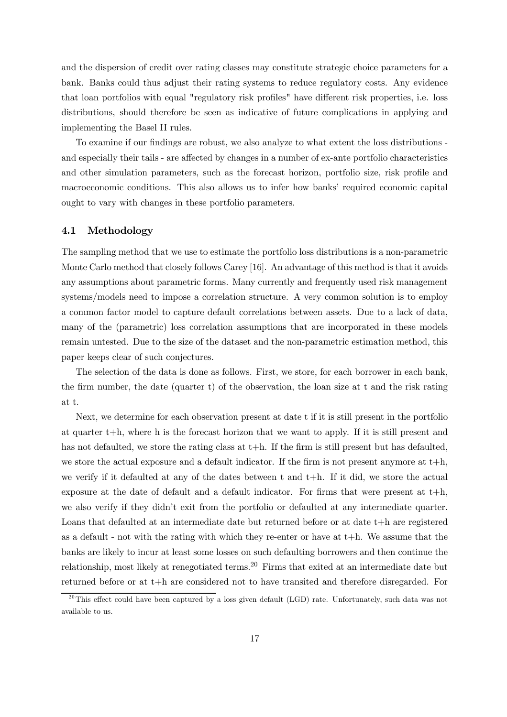and the dispersion of credit over rating classes may constitute strategic choice parameters for a bank. Banks could thus adjust their rating systems to reduce regulatory costs. Any evidence that loan portfolios with equal "regulatory risk profiles" have different risk properties, i.e. loss distributions, should therefore be seen as indicative of future complications in applying and implementing the Basel II rules.

To examine if our findings are robust, we also analyze to what extent the loss distributions and especially their tails - are affected by changes in a number of ex-ante portfolio characteristics and other simulation parameters, such as the forecast horizon, portfolio size, risk profile and macroeconomic conditions. This also allows us to infer how banks' required economic capital ought to vary with changes in these portfolio parameters.

### 4.1 Methodology

The sampling method that we use to estimate the portfolio loss distributions is a non-parametric Monte Carlo method that closely follows Carey [16]. An advantage of this method is that it avoids any assumptions about parametric forms. Many currently and frequently used risk management systems/models need to impose a correlation structure. A very common solution is to employ a common factor model to capture default correlations between assets. Due to a lack of data, many of the (parametric) loss correlation assumptions that are incorporated in these models remain untested. Due to the size of the dataset and the non-parametric estimation method, this paper keeps clear of such conjectures.

The selection of the data is done as follows. First, we store, for each borrower in each bank, the firm number, the date (quarter t) of the observation, the loan size at t and the risk rating at t.

Next, we determine for each observation present at date t if it is still present in the portfolio at quarter t+h, where h is the forecast horizon that we want to apply. If it is still present and has not defaulted, we store the rating class at  $t+h$ . If the firm is still present but has defaulted, we store the actual exposure and a default indicator. If the firm is not present anymore at  $t+h$ , we verify if it defaulted at any of the dates between t and t+h. If it did, we store the actual exposure at the date of default and a default indicator. For firms that were present at  $t+h$ , we also verify if they didn't exit from the portfolio or defaulted at any intermediate quarter. Loans that defaulted at an intermediate date but returned before or at date t+h are registered as a default - not with the rating with which they re-enter or have at  $t+h$ . We assume that the banks are likely to incur at least some losses on such defaulting borrowers and then continue the relationship, most likely at renegotiated terms.<sup>20</sup> Firms that exited at an intermediate date but returned before or at t+h are considered not to have transited and therefore disregarded. For

 $^{20}$ This effect could have been captured by a loss given default (LGD) rate. Unfortunately, such data was not available to us.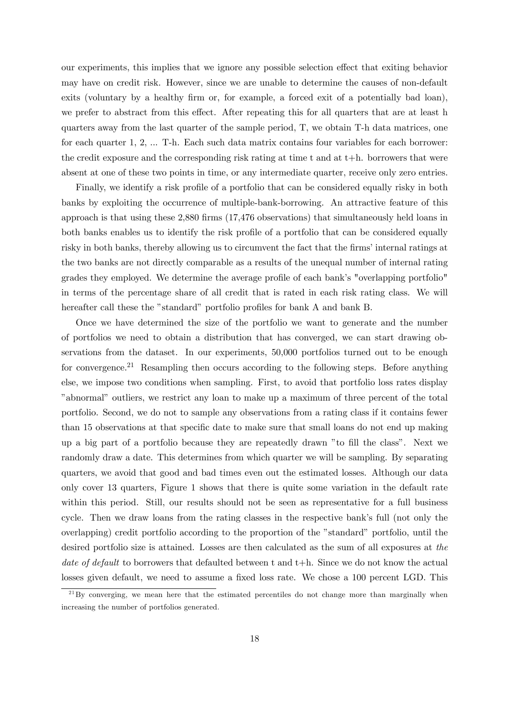our experiments, this implies that we ignore any possible selection effect that exiting behavior may have on credit risk. However, since we are unable to determine the causes of non-default exits (voluntary by a healthy firm or, for example, a forced exit of a potentially bad loan), we prefer to abstract from this effect. After repeating this for all quarters that are at least h quarters away from the last quarter of the sample period, T, we obtain T-h data matrices, one for each quarter 1, 2, ... T-h. Each such data matrix contains four variables for each borrower: the credit exposure and the corresponding risk rating at time t and at  $t+h$ . borrowers that were absent at one of these two points in time, or any intermediate quarter, receive only zero entries.

Finally, we identify a risk profile of a portfolio that can be considered equally risky in both banks by exploiting the occurrence of multiple-bank-borrowing. An attractive feature of this approach is that using these 2,880 firms (17,476 observations) that simultaneously held loans in both banks enables us to identify the risk profile of a portfolio that can be considered equally risky in both banks, thereby allowing us to circumvent the fact that the firms' internal ratings at the two banks are not directly comparable as a results of the unequal number of internal rating grades they employed. We determine the average profile of each bank's "overlapping portfolio" in terms of the percentage share of all credit that is rated in each risk rating class. We will hereafter call these the "standard" portfolio profiles for bank A and bank B.

Once we have determined the size of the portfolio we want to generate and the number of portfolios we need to obtain a distribution that has converged, we can start drawing observations from the dataset. In our experiments, 50,000 portfolios turned out to be enough for convergence.<sup>21</sup> Resampling then occurs according to the following steps. Before anything else, we impose two conditions when sampling. First, to avoid that portfolio loss rates display "abnormal" outliers, we restrict any loan to make up a maximum of three percent of the total portfolio. Second, we do not to sample any observations from a rating class if it contains fewer than 15 observations at that specific date to make sure that small loans do not end up making up a big part of a portfolio because they are repeatedly drawn "to fill the class". Next we randomly draw a date. This determines from which quarter we will be sampling. By separating quarters, we avoid that good and bad times even out the estimated losses. Although our data only cover 13 quarters, Figure 1 shows that there is quite some variation in the default rate within this period. Still, our results should not be seen as representative for a full business cycle. Then we draw loans from the rating classes in the respective bank's full (not only the overlapping) credit portfolio according to the proportion of the "standard" portfolio, until the desired portfolio size is attained. Losses are then calculated as the sum of all exposures at the date of default to borrowers that defaulted between t and t+h. Since we do not know the actual losses given default, we need to assume a fixed loss rate. We chose a 100 percent LGD. This

 $^{21}$ By converging, we mean here that the estimated percentiles do not change more than marginally when increasing the number of portfolios generated.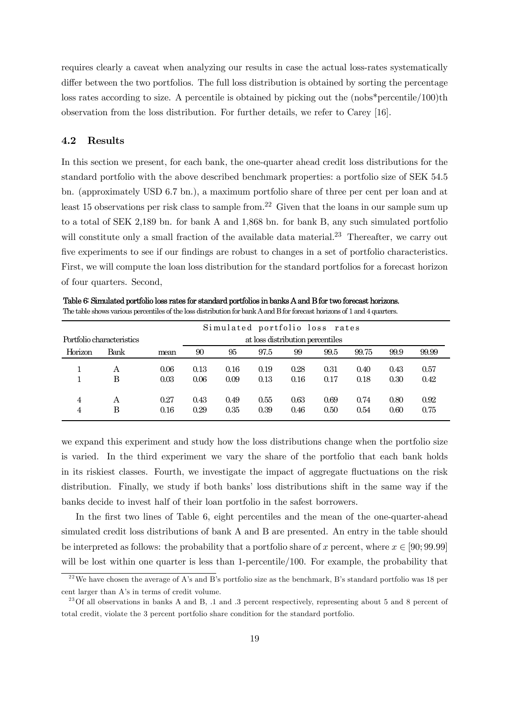requires clearly a caveat when analyzing our results in case the actual loss-rates systematically differ between the two portfolios. The full loss distribution is obtained by sorting the percentage loss rates according to size. A percentile is obtained by picking out the (nobs\*percentile/100)th observation from the loss distribution. For further details, we refer to Carey [16].

### 4.2 Results

In this section we present, for each bank, the one-quarter ahead credit loss distributions for the standard portfolio with the above described benchmark properties: a portfolio size of SEK 54.5 bn. (approximately USD 6.7 bn.), a maximum portfolio share of three per cent per loan and at least 15 observations per risk class to sample from.<sup>22</sup> Given that the loans in our sample sum up to a total of SEK 2,189 bn. for bank A and 1,868 bn. for bank B, any such simulated portfolio will constitute only a small fraction of the available data material.<sup>23</sup> Thereafter, we carry out five experiments to see if our findings are robust to changes in a set of portfolio characteristics. First, we will compute the loan loss distribution for the standard portfolios for a forecast horizon of four quarters. Second,

|         | Simulated portfolio loss rates |              |                                  |              |              |              |              |              |              |              |  |  |  |
|---------|--------------------------------|--------------|----------------------------------|--------------|--------------|--------------|--------------|--------------|--------------|--------------|--|--|--|
|         | Portfolio characteristics      |              | at loss distribution percentiles |              |              |              |              |              |              |              |  |  |  |
| Horizon | Bank                           | mean         | 90                               | 95           | 97.5         | 99           | 99.5         | 99.75        | 99.9         | 99.99        |  |  |  |
|         | А                              | 0.06         | 0.13                             | 0.16         | 0.19         | 0.28         | 0.31         | 0.40         | 0.43         | 0.57         |  |  |  |
|         | B                              | 0.03         | 0.06                             | 0.09         | 0.13         | 0.16         | 0.17         | 0.18         | 0.30         | 0.42         |  |  |  |
| 4<br>4  | A<br>В                         | 0.27<br>0.16 | 0.43<br>0.29                     | 0.49<br>0.35 | 0.55<br>0.39 | 0.63<br>0.46 | 0.69<br>0.50 | 0.74<br>0.54 | 0.80<br>0.60 | 0.92<br>0.75 |  |  |  |

Table 6: Simulated portfolio loss rates for standard portfolios in banks A and B for two forecast horizons. The table shows various percentiles of the loss distribution for bank A and B for forecast horizons of 1 and 4 quarters.

we expand this experiment and study how the loss distributions change when the portfolio size is varied. In the third experiment we vary the share of the portfolio that each bank holds in its riskiest classes. Fourth, we investigate the impact of aggregate fluctuations on the risk distribution. Finally, we study if both banks' loss distributions shift in the same way if the banks decide to invest half of their loan portfolio in the safest borrowers.

In the first two lines of Table 6, eight percentiles and the mean of the one-quarter-ahead simulated credit loss distributions of bank A and B are presented. An entry in the table should be interpreted as follows: the probability that a portfolio share of x percent, where  $x \in [90; 99.99]$ will be lost within one quarter is less than 1-percentile/100. For example, the probability that

 $^{22}$ We have chosen the average of A's and B's portfolio size as the benchmark, B's standard portfolio was 18 per cent larger than A's in terms of credit volume.

<sup>&</sup>lt;sup>23</sup>Of all observations in banks A and B, .1 and .3 percent respectively, representing about 5 and 8 percent of total credit, violate the 3 percent portfolio share condition for the standard portfolio.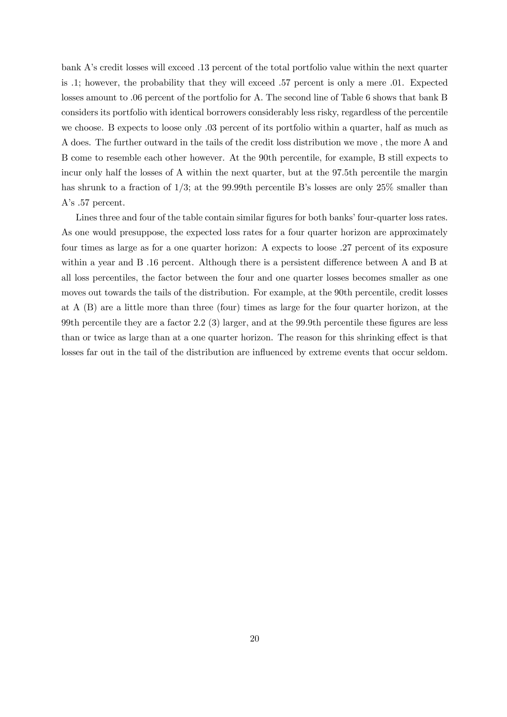bank A's credit losses will exceed .13 percent of the total portfolio value within the next quarter is .1; however, the probability that they will exceed .57 percent is only a mere .01. Expected losses amount to .06 percent of the portfolio for A. The second line of Table 6 shows that bank B considers its portfolio with identical borrowers considerably less risky, regardless of the percentile we choose. B expects to loose only .03 percent of its portfolio within a quarter, half as much as A does. The further outward in the tails of the credit loss distribution we move , the more A and B come to resemble each other however. At the 90th percentile, for example, B still expects to incur only half the losses of A within the next quarter, but at the 97.5th percentile the margin has shrunk to a fraction of 1/3; at the 99.99th percentile B's losses are only 25% smaller than A's .57 percent.

Lines three and four of the table contain similar figures for both banks' four-quarter loss rates. As one would presuppose, the expected loss rates for a four quarter horizon are approximately four times as large as for a one quarter horizon: A expects to loose .27 percent of its exposure within a year and B .16 percent. Although there is a persistent difference between A and B at all loss percentiles, the factor between the four and one quarter losses becomes smaller as one moves out towards the tails of the distribution. For example, at the 90th percentile, credit losses at A (B) are a little more than three (four) times as large for the four quarter horizon, at the 99th percentile they are a factor 2.2 (3) larger, and at the 99.9th percentile these figures are less than or twice as large than at a one quarter horizon. The reason for this shrinking effect is that losses far out in the tail of the distribution are influenced by extreme events that occur seldom.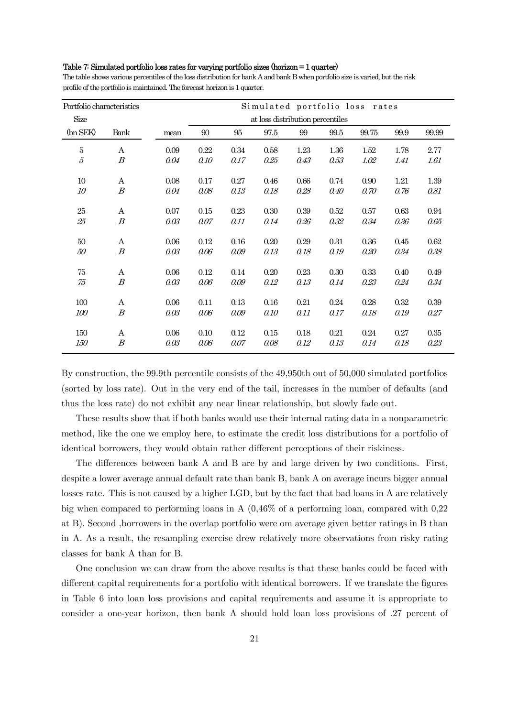### Table 7: Simulated portfolio loss rates for varying portfolio sizes (horizon = 1 quarter)

| Portfolio characteristics |                  |          |        |      | Simulated portfolio loss         |          |          | rates    |      |          |
|---------------------------|------------------|----------|--------|------|----------------------------------|----------|----------|----------|------|----------|
| <b>Size</b>               |                  |          |        |      | at loss distribution percentiles |          |          |          |      |          |
| (bn SEK)                  | Bank             | mean     | $90\,$ | 95   | $97.5\,$                         | 99       | 99.5     | 99.75    | 99.9 | 99.99    |
| $\bf 5$                   | A                | 0.09     | 0.22   | 0.34 | 0.58                             | 1.23     | 1.36     | 1.52     | 1.78 | 2.77     |
| $\mathcal S$              | $\boldsymbol{B}$ | 0.04     | 0.10   | 0.17 | 0.25                             | 0.43     | 0.53     | 1.02     | 1.41 | 1.61     |
| 10                        | A                | $0.08\,$ | 0.17   | 0.27 | 0.46                             | 0.66     | 0.74     | 0.90     | 1.21 | 1.39     |
| 10                        | $\boldsymbol{B}$ | 0.04     | 0.08   | 0.13 | 0.18                             | 0.28     | 0.40     | 0.70     | 0.76 | 0.81     |
| 25                        | A                | 0.07     | 0.15   | 0.23 | 0.30                             | 0.39     | 0.52     | 0.57     | 0.63 | 0.94     |
| 25                        | $\boldsymbol{B}$ | 0.03     | 0.07   | 0.11 | 0.14                             | 0.26     | 0.32     | 0.34     | 0.36 | 0.65     |
| $50\,$                    | A                | 0.06     | 0.12   | 0.16 | 0.20                             | 0.29     | 0.31     | $0.36\,$ | 0.45 | 0.62     |
| 50                        | $\boldsymbol{B}$ | 0.03     | 0.06   | 0.09 | 0.13                             | 0.18     | 0.19     | 0.20     | 0.34 | 0.38     |
| 75                        | A                | 0.06     | 0.12   | 0.14 | 0.20                             | 0.23     | 0.30     | 0.33     | 0.40 | 0.49     |
| 75                        | $\boldsymbol{B}$ | 0.03     | 0.06   | 0.09 | 0.12                             | 0.13     | 0.14     | 0.23     | 0.24 | 0.34     |
| 100                       | A                | 0.06     | 0.11   | 0.13 | 0.16                             | $0.21\,$ | $0.24\,$ | 0.28     | 0.32 | $0.39\,$ |
| <i>100</i>                | $\boldsymbol{B}$ | 0.03     | 0.06   | 0.09 | 0.10                             | 0.11     | 0.17     | 0.18     | 0.19 | 0.27     |
| 150                       | A                | 0.06     | 0.10   | 0.12 | 0.15                             | 0.18     | 0.21     | 0.24     | 0.27 | 0.35     |
| <i>150</i>                | $\boldsymbol{B}$ | 0.03     | 0.06   | 0.07 | 0.08                             | 0.12     | 0.13     | 0.14     | 0.18 | 0.23     |

The table shows various percentiles of the loss distribution for bank A and bank B when portfolio size is varied, but the risk profile of the portfolio is maintained. The forecast horizon is 1 quarter.

By construction, the 99.9th percentile consists of the 49,950th out of 50,000 simulated portfolios (sorted by loss rate). Out in the very end of the tail, increases in the number of defaults (and thus the loss rate) do not exhibit any near linear relationship, but slowly fade out.

These results show that if both banks would use their internal rating data in a nonparametric method, like the one we employ here, to estimate the credit loss distributions for a portfolio of identical borrowers, they would obtain rather different perceptions of their riskiness.

The differences between bank A and B are by and large driven by two conditions. First, despite a lower average annual default rate than bank B, bank A on average incurs bigger annual losses rate. This is not caused by a higher LGD, but by the fact that bad loans in A are relatively big when compared to performing loans in A (0,46% of a performing loan, compared with 0,22 at B). Second ,borrowers in the overlap portfolio were om average given better ratings in B than in A. As a result, the resampling exercise drew relatively more observations from risky rating classes for bank A than for B.

One conclusion we can draw from the above results is that these banks could be faced with different capital requirements for a portfolio with identical borrowers. If we translate the figures in Table 6 into loan loss provisions and capital requirements and assume it is appropriate to consider a one-year horizon, then bank A should hold loan loss provisions of .27 percent of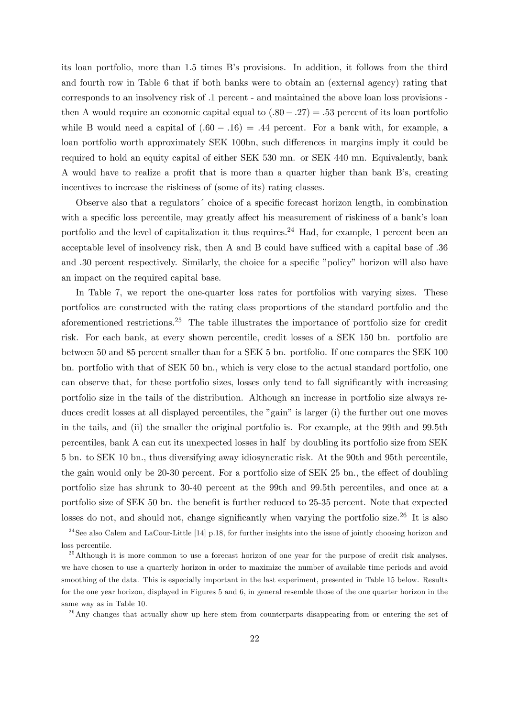its loan portfolio, more than 1.5 times B's provisions. In addition, it follows from the third and fourth row in Table 6 that if both banks were to obtain an (external agency) rating that corresponds to an insolvency risk of .1 percent - and maintained the above loan loss provisions then A would require an economic capital equal to  $(.80 - .27) = .53$  percent of its loan portfolio while B would need a capital of  $(.60 - .16) = .44$  percent. For a bank with, for example, a loan portfolio worth approximately SEK 100bn, such differences in margins imply it could be required to hold an equity capital of either SEK 530 mn. or SEK 440 mn. Equivalently, bank A would have to realize a profit that is more than a quarter higher than bank B's, creating incentives to increase the riskiness of (some of its) rating classes.

Observe also that a regulators´ choice of a specific forecast horizon length, in combination with a specific loss percentile, may greatly affect his measurement of riskiness of a bank's loan portfolio and the level of capitalization it thus requires.<sup>24</sup> Had, for example, 1 percent been an acceptable level of insolvency risk, then A and B could have sufficed with a capital base of .36 and .30 percent respectively. Similarly, the choice for a specific "policy" horizon will also have an impact on the required capital base.

In Table 7, we report the one-quarter loss rates for portfolios with varying sizes. These portfolios are constructed with the rating class proportions of the standard portfolio and the aforementioned restrictions.<sup>25</sup> The table illustrates the importance of portfolio size for credit risk. For each bank, at every shown percentile, credit losses of a SEK 150 bn. portfolio are between 50 and 85 percent smaller than for a SEK 5 bn. portfolio. If one compares the SEK 100 bn. portfolio with that of SEK 50 bn., which is very close to the actual standard portfolio, one can observe that, for these portfolio sizes, losses only tend to fall significantly with increasing portfolio size in the tails of the distribution. Although an increase in portfolio size always reduces credit losses at all displayed percentiles, the "gain" is larger (i) the further out one moves in the tails, and (ii) the smaller the original portfolio is. For example, at the 99th and 99.5th percentiles, bank A can cut its unexpected losses in half by doubling its portfolio size from SEK 5 bn. to SEK 10 bn., thus diversifying away idiosyncratic risk. At the 90th and 95th percentile, the gain would only be 20-30 percent. For a portfolio size of SEK 25 bn., the effect of doubling portfolio size has shrunk to 30-40 percent at the 99th and 99.5th percentiles, and once at a portfolio size of SEK 50 bn. the benefit is further reduced to 25-35 percent. Note that expected losses do not, and should not, change significantly when varying the portfolio size.<sup>26</sup> It is also

 $^{26}$ Any changes that actually show up here stem from counterparts disappearing from or entering the set of

 $24$ See also Calem and LaCour-Little [14] p.18, for further insights into the issue of jointly choosing horizon and loss percentile.

 $^{25}$ Although it is more common to use a forecast horizon of one year for the purpose of credit risk analyses, we have chosen to use a quarterly horizon in order to maximize the number of available time periods and avoid smoothing of the data. This is especially important in the last experiment, presented in Table 15 below. Results for the one year horizon, displayed in Figures 5 and 6, in general resemble those of the one quarter horizon in the same way as in Table 10.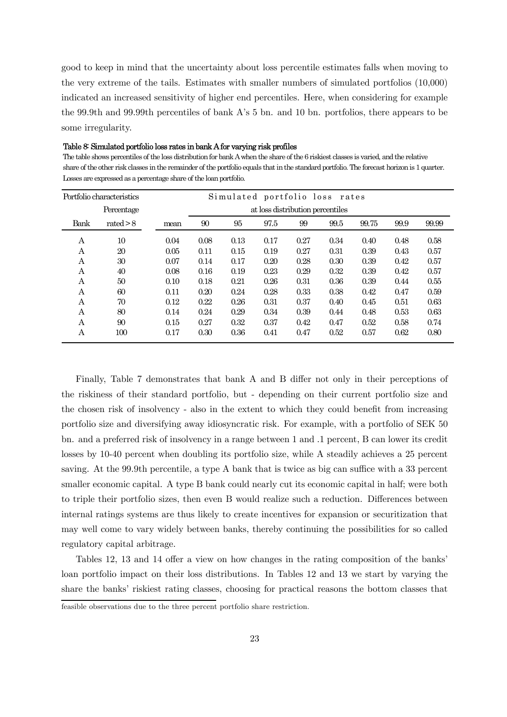good to keep in mind that the uncertainty about loss percentile estimates falls when moving to the very extreme of the tails. Estimates with smaller numbers of simulated portfolios (10,000) indicated an increased sensitivity of higher end percentiles. Here, when considering for example the 99.9th and 99.99th percentiles of bank A's 5 bn. and 10 bn. portfolios, there appears to be some irregularity.

|      | Portfolio characteristics |      |      |      |      | Simulated portfolio loss rates   |      |       |      |       |
|------|---------------------------|------|------|------|------|----------------------------------|------|-------|------|-------|
|      | Percentage                |      |      |      |      | at loss distribution percentiles |      |       |      |       |
| Bank | rated $>8$                | mean | 90   | 95   | 97.5 | 99                               | 99.5 | 99.75 | 99.9 | 99.99 |
| А    | 10                        | 0.04 | 0.08 | 0.13 | 0.17 | 0.27                             | 0.34 | 0.40  | 0.48 | 0.58  |
| А    | 20                        | 0.05 | 0.11 | 0.15 | 0.19 | 0.27                             | 0.31 | 0.39  | 0.43 | 0.57  |
| A    | 30                        | 0.07 | 0.14 | 0.17 | 0.20 | 0.28                             | 0.30 | 0.39  | 0.42 | 0.57  |
| A    | 40                        | 0.08 | 0.16 | 0.19 | 0.23 | 0.29                             | 0.32 | 0.39  | 0.42 | 0.57  |
| A    | 50                        | 0.10 | 0.18 | 0.21 | 0.26 | 0.31                             | 0.36 | 0.39  | 0.44 | 0.55  |
| А    | 60                        | 0.11 | 0.20 | 0.24 | 0.28 | 0.33                             | 0.38 | 0.42  | 0.47 | 0.59  |
| A    | 70                        | 0.12 | 0.22 | 0.26 | 0.31 | 0.37                             | 0.40 | 0.45  | 0.51 | 0.63  |
| A    | 80                        | 0.14 | 0.24 | 0.29 | 0.34 | 0.39                             | 0.44 | 0.48  | 0.53 | 0.63  |
| A    | 90                        | 0.15 | 0.27 | 0.32 | 0.37 | 0.42                             | 0.47 | 0.52  | 0.58 | 0.74  |
| Α    | 100                       | 0.17 | 0.30 | 0.36 | 0.41 | 0.47                             | 0.52 | 0.57  | 0.62 | 0.80  |

#### Table 8: Simulated portfolio loss rates in bank A for varying risk profiles

The table shows percentiles of the loss distribution for bank A when the share of the 6 riskiest classes is varied, and the relative share of the other risk classes in the remainder of the portfolio equals that in the standard portfolio. The forecast horizon is 1 quarter. Losses are expressed as a percentage share of the loan portfolio.

Finally, Table 7 demonstrates that bank A and B differ not only in their perceptions of the riskiness of their standard portfolio, but - depending on their current portfolio size and the chosen risk of insolvency - also in the extent to which they could benefit from increasing portfolio size and diversifying away idiosyncratic risk. For example, with a portfolio of SEK 50 bn. and a preferred risk of insolvency in a range between 1 and .1 percent, B can lower its credit losses by 10-40 percent when doubling its portfolio size, while A steadily achieves a 25 percent saving. At the 99.9th percentile, a type A bank that is twice as big can suffice with a 33 percent smaller economic capital. A type B bank could nearly cut its economic capital in half; were both to triple their portfolio sizes, then even B would realize such a reduction. Differences between internal ratings systems are thus likely to create incentives for expansion or securitization that may well come to vary widely between banks, thereby continuing the possibilities for so called regulatory capital arbitrage.

Tables 12, 13 and 14 offer a view on how changes in the rating composition of the banks' loan portfolio impact on their loss distributions. In Tables 12 and 13 we start by varying the share the banks' riskiest rating classes, choosing for practical reasons the bottom classes that

feasible observations due to the three percent portfolio share restriction.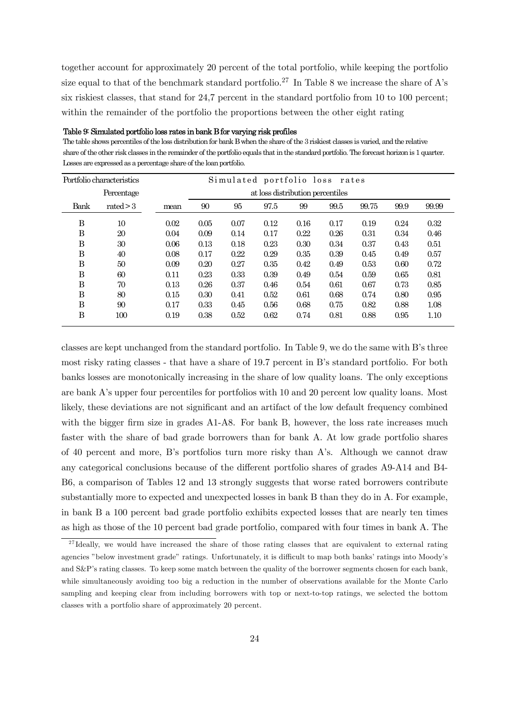together account for approximately 20 percent of the total portfolio, while keeping the portfolio size equal to that of the benchmark standard portfolio.<sup>27</sup> In Table 8 we increase the share of A's six riskiest classes, that stand for 24,7 percent in the standard portfolio from 10 to 100 percent; within the remainder of the portfolio the proportions between the other eight rating

|      | Portfolio characteristics |      |      |      |      | Simulated portfolio loss         |      | rates |      |       |
|------|---------------------------|------|------|------|------|----------------------------------|------|-------|------|-------|
|      | Percentage                |      |      |      |      | at loss distribution percentiles |      |       |      |       |
| Bank | rated $>3$                | mean | 90   | 95   | 97.5 | 99                               | 99.5 | 99.75 | 99.9 | 99.99 |
| B    | 10                        | 0.02 | 0.05 | 0.07 | 0.12 | 0.16                             | 0.17 | 0.19  | 0.24 | 0.32  |
| B    | 20                        | 0.04 | 0.09 | 0.14 | 0.17 | 0.22                             | 0.26 | 0.31  | 0.34 | 0.46  |
| B    | 30                        | 0.06 | 0.13 | 0.18 | 0.23 | 0.30                             | 0.34 | 0.37  | 0.43 | 0.51  |
| B    | 40                        | 0.08 | 0.17 | 0.22 | 0.29 | 0.35                             | 0.39 | 0.45  | 0.49 | 0.57  |
| B    | 50                        | 0.09 | 0.20 | 0.27 | 0.35 | 0.42                             | 0.49 | 0.53  | 0.60 | 0.72  |
| B    | 60                        | 0.11 | 0.23 | 0.33 | 0.39 | 0.49                             | 0.54 | 0.59  | 0.65 | 0.81  |
| B    | 70                        | 0.13 | 0.26 | 0.37 | 0.46 | 0.54                             | 0.61 | 0.67  | 0.73 | 0.85  |
| B    | 80                        | 0.15 | 0.30 | 0.41 | 0.52 | 0.61                             | 0.68 | 0.74  | 0.80 | 0.95  |
| B    | 90                        | 0.17 | 0.33 | 0.45 | 0.56 | 0.68                             | 0.75 | 0.82  | 0.88 | 1.08  |
| B    | 100                       | 0.19 | 0.38 | 0.52 | 0.62 | 0.74                             | 0.81 | 0.88  | 0.95 | 1.10  |

Table 9: Simulated portfolio loss rates in bank B for varying risk profiles

The table shows percentiles of the loss distribution for bank B when the share of the 3 riskiest classes is varied, and the relative share of the other risk classes in the remainder of the portfolio equals that in the standard portfolio. The forecast horizon is 1 quarter. Losses are expressed as a percentage share of the loan portfolio.

classes are kept unchanged from the standard portfolio. In Table 9, we do the same with B's three most risky rating classes - that have a share of 19.7 percent in B's standard portfolio. For both banks losses are monotonically increasing in the share of low quality loans. The only exceptions are bank A's upper four percentiles for portfolios with 10 and 20 percent low quality loans. Most likely, these deviations are not significant and an artifact of the low default frequency combined with the bigger firm size in grades A1-A8. For bank B, however, the loss rate increases much faster with the share of bad grade borrowers than for bank A. At low grade portfolio shares of 40 percent and more, B's portfolios turn more risky than A's. Although we cannot draw any categorical conclusions because of the different portfolio shares of grades A9-A14 and B4- B6, a comparison of Tables 12 and 13 strongly suggests that worse rated borrowers contribute substantially more to expected and unexpected losses in bank B than they do in A. For example, in bank B a 100 percent bad grade portfolio exhibits expected losses that are nearly ten times as high as those of the 10 percent bad grade portfolio, compared with four times in bank A. The

 $27$  Ideally, we would have increased the share of those rating classes that are equivalent to external rating agencies "below investment grade" ratings. Unfortunately, it is difficult to map both banks' ratings into Moody's and S&P's rating classes. To keep some match between the quality of the borrower segments chosen for each bank, while simultaneously avoiding too big a reduction in the number of observations available for the Monte Carlo sampling and keeping clear from including borrowers with top or next-to-top ratings, we selected the bottom classes with a portfolio share of approximately 20 percent.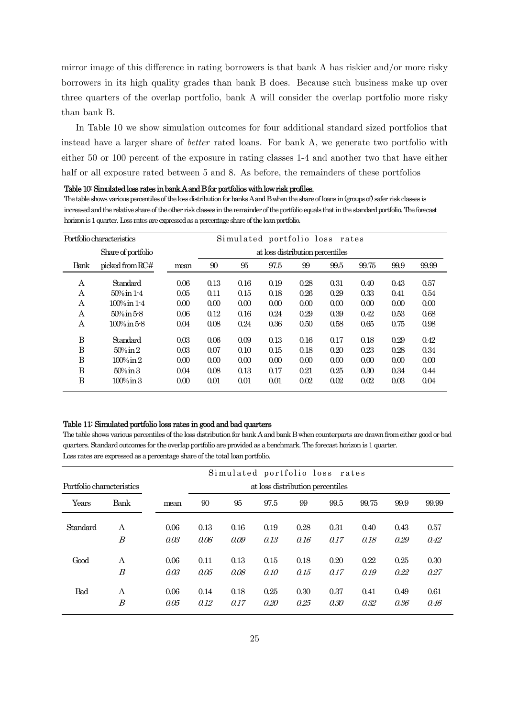mirror image of this difference in rating borrowers is that bank A has riskier and/or more risky borrowers in its high quality grades than bank B does. Because such business make up over three quarters of the overlap portfolio, bank A will consider the overlap portfolio more risky than bank B.

In Table 10 we show simulation outcomes for four additional standard sized portfolios that instead have a larger share of better rated loans. For bank A, we generate two portfolio with either 50 or 100 percent of the exposure in rating classes 1-4 and another two that have either half or all exposure rated between 5 and 8. As before, the remainders of these portfolios

|      | HATIZATIS I GUALLA. IDSS TAICS ALC CAPI CSSOU AS A POTOGHAZIC SHALC OF THE RAIT POLITOIR. |      |      |                                |      |                                  |      |       |      |       |
|------|-------------------------------------------------------------------------------------------|------|------|--------------------------------|------|----------------------------------|------|-------|------|-------|
|      | Portfolio characteristics                                                                 |      |      | Simulated portfolio loss rates |      |                                  |      |       |      |       |
|      | Share of portfolio                                                                        |      |      |                                |      | at loss distribution percentiles |      |       |      |       |
| Bank | picked from $RC#$                                                                         | mean | 90   | 95                             | 97.5 | 99                               | 99.5 | 99.75 | 99.9 | 99.99 |
| Α    | Standard                                                                                  | 0.06 | 0.13 | 0.16                           | 0.19 | 0.28                             | 0.31 | 0.40  | 0.43 | 0.57  |
| А    | $50\%$ in 1-4                                                                             | 0.05 | 0.11 | 0.15                           | 0.18 | 0.26                             | 0.29 | 0.33  | 0.41 | 0.54  |
| A    | $100\%$ in 1-4                                                                            | 0.00 | 0.00 | 0.00                           | 0.00 | 0.00                             | 0.00 | 0.00  | 0.00 | 0.00  |
| А    | $50\%$ in $58$                                                                            | 0.06 | 0.12 | 0.16                           | 0.24 | 0.29                             | 0.39 | 0.42  | 0.53 | 0.68  |
| Α    | $100\%$ in 5-8                                                                            | 0.04 | 0.08 | 0.24                           | 0.36 | 0.50                             | 0.58 | 0.65  | 0.75 | 0.98  |
| B    | Standard                                                                                  | 0.03 | 0.06 | 0.09                           | 0.13 | 0.16                             | 0.17 | 0.18  | 0.29 | 0.42  |
| В    | $50\%$ in $2$                                                                             | 0.03 | 0.07 | 0.10                           | 0.15 | 0.18                             | 0.20 | 0.23  | 0.28 | 0.34  |
| B    | $100\%$ in $2$                                                                            | 0.00 | 0.00 | 0.00                           | 0.00 | 0.00                             | 0.00 | 0.00  | 0.00 | 0.00  |
| B    | 50% in 3                                                                                  | 0.04 | 0.08 | 0.13                           | 0.17 | 0.21                             | 0.25 | 0.30  | 0.34 | 0.44  |
| B    | $100\%$ in 3                                                                              | 0.00 | 0.01 | 0.01                           | 0.01 | 0.02                             | 0.02 | 0.02  | 0.03 | 0.04  |

#### Table 10: Simulated loss rates in bank A and B for portfolios with low risk profiles.

The table shows various percentiles of the loss distribution for banks A and B when the share of loans in (groups of) safer risk classes is

increased and the relative share of the other risk classes in the remainder of the portfolio equals that in the standard portfolio. The forecast horizon is 1 quarter. Loss rates are expressed as a percentage share of the loan portfolio.

### Table 11: Simulated portfolio loss rates in good and bad quarters

The table shows various percentiles of the loss distribution for bank A and bank B when counterparts are drawn from either good or bad quarters. Standard outcomes for the overlap portfolio are provided as a benchmark. The forecast horizon is 1 quarter. Loss rates are expressed as a percentage share of the total loan portfolio.

|                           |                  |      | Simulated portfolio loss<br>rates |      |      |                                  |      |       |      |       |  |  |  |
|---------------------------|------------------|------|-----------------------------------|------|------|----------------------------------|------|-------|------|-------|--|--|--|
| Portfolio characteristics |                  |      |                                   |      |      | at loss distribution percentiles |      |       |      |       |  |  |  |
| Years                     | Bank             | mean | 90                                | 95   | 97.5 | 99                               | 99.5 | 99.75 | 99.9 | 99.99 |  |  |  |
| Standard                  | A                | 0.06 | 0.13                              | 0.16 | 0.19 | 0.28                             | 0.31 | 0.40  | 0.43 | 0.57  |  |  |  |
|                           | B                | 0.03 | 0.06                              | 0.09 | 0.13 | 0.16                             | 0.17 | 0.18  | 0.29 | 0.42  |  |  |  |
| Good                      | A                | 0.06 | 0.11                              | 0.13 | 0.15 | 0.18                             | 0.20 | 0.22  | 0.25 | 0.30  |  |  |  |
|                           | $\boldsymbol{B}$ | 0.03 | 0.05                              | 0.08 | 0.10 | 0.15                             | 0.17 | 0.19  | 0.22 | 0.27  |  |  |  |
| <b>Bad</b>                | A                | 0.06 | 0.14                              | 0.18 | 0.25 | 0.30                             | 0.37 | 0.41  | 0.49 | 0.61  |  |  |  |
|                           | B                | 0.05 | 0.12                              | 0.17 | 0.20 | 0.25                             | 0.30 | 0.32  | 0.36 | 0.46  |  |  |  |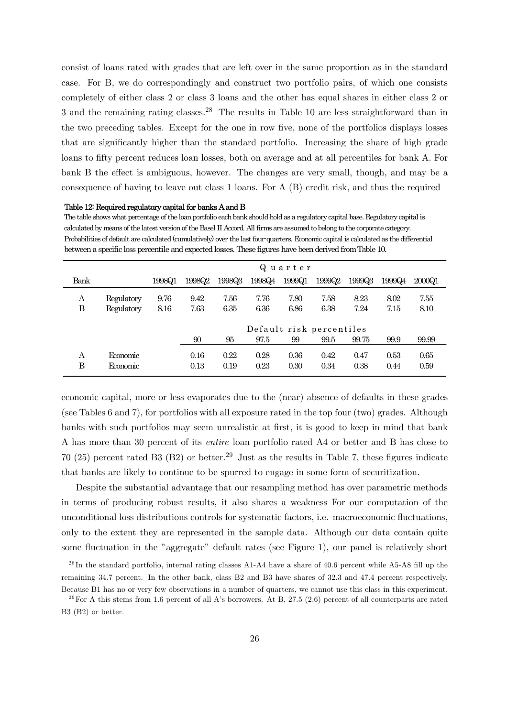consist of loans rated with grades that are left over in the same proportion as in the standard case. For B, we do correspondingly and construct two portfolio pairs, of which one consists completely of either class 2 or class 3 loans and the other has equal shares in either class 2 or 3 and the remaining rating classes.28 The results in Table 10 are less straightforward than in the two preceding tables. Except for the one in row five, none of the portfolios displays losses that are significantly higher than the standard portfolio. Increasing the share of high grade loans to fifty percent reduces loan losses, both on average and at all percentiles for bank A. For bank B the effect is ambiguous, however. The changes are very small, though, and may be a consequence of having to leave out class 1 loans. For A (B) credit risk, and thus the required

The table shows what percentage of the loan portfolio each bank should hold as a regulatory capital base. Regulatory capital is calculated by means of the latest version of the Basel II Accord. All firms are assumed to belong to the corporate category. Probabilities of default are calculated (cumulatively) over the last four-quarters. Economic capital is calculated as the differential

| between a specific loss percentile and expected losses. These figures have been derived from Table 10. |                 |                          |        |        |        |        |        |        |        |        |  |
|--------------------------------------------------------------------------------------------------------|-----------------|--------------------------|--------|--------|--------|--------|--------|--------|--------|--------|--|
|                                                                                                        |                 | Quarter                  |        |        |        |        |        |        |        |        |  |
| Bank                                                                                                   |                 | 1998Q1                   | 1998Q2 | 1998Q3 | 1998Q4 | 1999Q1 | 1999Q2 | 1999Q3 | 1999Q4 | 2000Q1 |  |
| А                                                                                                      | Regulatory      | 9.76                     | 9.42   | 7.56   | 7.76   | 7.80   | 7.58   | 8.23   | 8.02   | 7.55   |  |
| B                                                                                                      | Regulatory      | 8.16                     | 7.63   | 6.35   | 6.36   | 6.86   | 6.38   | 7.24   | 7.15   | 8.10   |  |
|                                                                                                        |                 | Default risk percentiles |        |        |        |        |        |        |        |        |  |
|                                                                                                        |                 |                          | 90     | 95     | 97.5   | 99     | 99.5   | 99.75  | 99.9   | 99.99  |  |
| A                                                                                                      | <b>Economic</b> |                          | 0.16   | 0.22   | 0.28   | 0.36   | 0.42   | 0.47   | 0.53   | 0.65   |  |
| B                                                                                                      | Economic        |                          | 0.13   | 0.19   | 0.23   | 0.30   | 0.34   | 0.38   | 0.44   | 0.59   |  |

Table 12: Required regulatory capital for banks A and B

economic capital, more or less evaporates due to the (near) absence of defaults in these grades (see Tables 6 and 7), for portfolios with all exposure rated in the top four (two) grades. Although banks with such portfolios may seem unrealistic at first, it is good to keep in mind that bank A has more than 30 percent of its entire loan portfolio rated A4 or better and B has close to 70 (25) percent rated B3 (B2) or better.<sup>29</sup> Just as the results in Table 7, these figures indicate that banks are likely to continue to be spurred to engage in some form of securitization.

Despite the substantial advantage that our resampling method has over parametric methods in terms of producing robust results, it also shares a weakness For our computation of the unconditional loss distributions controls for systematic factors, i.e. macroeconomic fluctuations, only to the extent they are represented in the sample data. Although our data contain quite some fluctuation in the "aggregate" default rates (see Figure 1), our panel is relatively short

 $^{28}$ In the standard portfolio, internal rating classes A1-A4 have a share of 40.6 percent while A5-A8 fill up the remaining 34.7 percent. In the other bank, class B2 and B3 have shares of 32.3 and 47.4 percent respectively. Because B1 has no or very few observations in a number of quarters, we cannot use this class in this experiment.

 $^{29}$  For A this stems from 1.6 percent of all A's borrowers. At B, 27.5 (2.6) percent of all counterparts are rated B3 (B2) or better.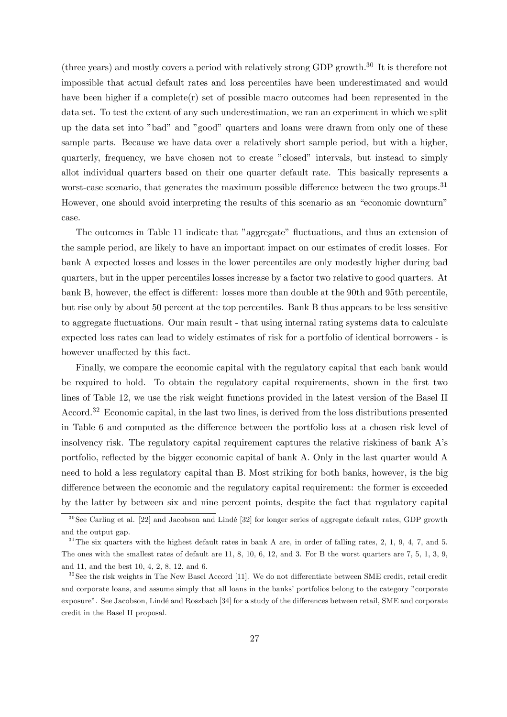(three years) and mostly covers a period with relatively strong GDP growth.30 It is therefore not impossible that actual default rates and loss percentiles have been underestimated and would have been higher if a complete(r) set of possible macro outcomes had been represented in the data set. To test the extent of any such underestimation, we ran an experiment in which we split up the data set into "bad" and "good" quarters and loans were drawn from only one of these sample parts. Because we have data over a relatively short sample period, but with a higher, quarterly, frequency, we have chosen not to create "closed" intervals, but instead to simply allot individual quarters based on their one quarter default rate. This basically represents a worst-case scenario, that generates the maximum possible difference between the two groups.<sup>31</sup> However, one should avoid interpreting the results of this scenario as an "economic downturn" case.

The outcomes in Table 11 indicate that "aggregate" fluctuations, and thus an extension of the sample period, are likely to have an important impact on our estimates of credit losses. For bank A expected losses and losses in the lower percentiles are only modestly higher during bad quarters, but in the upper percentiles losses increase by a factor two relative to good quarters. At bank B, however, the effect is different: losses more than double at the 90th and 95th percentile, but rise only by about 50 percent at the top percentiles. Bank B thus appears to be less sensitive to aggregate fluctuations. Our main result - that using internal rating systems data to calculate expected loss rates can lead to widely estimates of risk for a portfolio of identical borrowers - is however unaffected by this fact.

Finally, we compare the economic capital with the regulatory capital that each bank would be required to hold. To obtain the regulatory capital requirements, shown in the first two lines of Table 12, we use the risk weight functions provided in the latest version of the Basel II Accord.32 Economic capital, in the last two lines, is derived from the loss distributions presented in Table 6 and computed as the difference between the portfolio loss at a chosen risk level of insolvency risk. The regulatory capital requirement captures the relative riskiness of bank A's portfolio, reflected by the bigger economic capital of bank A. Only in the last quarter would A need to hold a less regulatory capital than B. Most striking for both banks, however, is the big difference between the economic and the regulatory capital requirement: the former is exceeded by the latter by between six and nine percent points, despite the fact that regulatory capital

<sup>&</sup>lt;sup>30</sup>See Carling et al. [22] and Jacobson and Lindé [32] for longer series of aggregate default rates, GDP growth and the output gap.

 $31$ The six quarters with the highest default rates in bank A are, in order of falling rates, 2, 1, 9, 4, 7, and 5. The ones with the smallest rates of default are 11, 8, 10, 6, 12, and 3. For B the worst quarters are 7, 5, 1, 3, 9, and 11, and the best 10, 4, 2, 8, 12, and 6.

 $3<sup>32</sup>$  See the risk weights in The New Basel Accord [11]. We do not differentiate between SME credit, retail credit and corporate loans, and assume simply that all loans in the banks' portfolios belong to the category "corporate exposure". See Jacobson, Lindé and Roszbach [34] for a study of the differences between retail, SME and corporate credit in the Basel II proposal.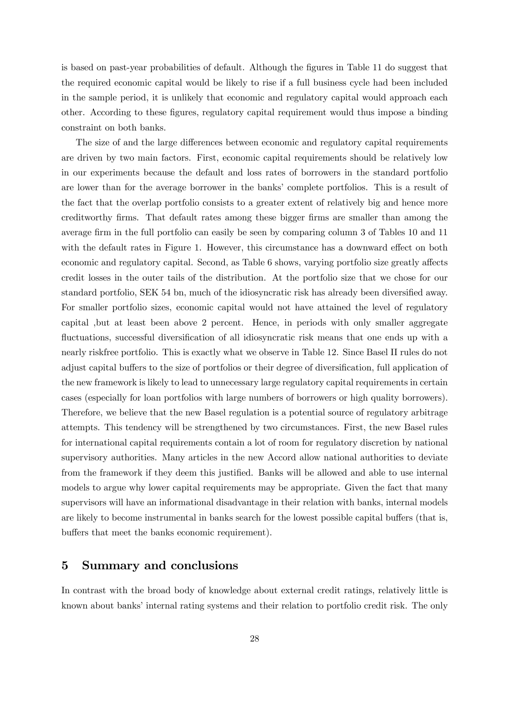is based on past-year probabilities of default. Although the figures in Table 11 do suggest that the required economic capital would be likely to rise if a full business cycle had been included in the sample period, it is unlikely that economic and regulatory capital would approach each other. According to these figures, regulatory capital requirement would thus impose a binding constraint on both banks.

The size of and the large differences between economic and regulatory capital requirements are driven by two main factors. First, economic capital requirements should be relatively low in our experiments because the default and loss rates of borrowers in the standard portfolio are lower than for the average borrower in the banks' complete portfolios. This is a result of the fact that the overlap portfolio consists to a greater extent of relatively big and hence more creditworthy firms. That default rates among these bigger firms are smaller than among the average firm in the full portfolio can easily be seen by comparing column 3 of Tables 10 and 11 with the default rates in Figure 1. However, this circumstance has a downward effect on both economic and regulatory capital. Second, as Table 6 shows, varying portfolio size greatly affects credit losses in the outer tails of the distribution. At the portfolio size that we chose for our standard portfolio, SEK 54 bn, much of the idiosyncratic risk has already been diversified away. For smaller portfolio sizes, economic capital would not have attained the level of regulatory capital ,but at least been above 2 percent. Hence, in periods with only smaller aggregate fluctuations, successful diversification of all idiosyncratic risk means that one ends up with a nearly riskfree portfolio. This is exactly what we observe in Table 12. Since Basel II rules do not adjust capital buffers to the size of portfolios or their degree of diversification, full application of the new framework is likely to lead to unnecessary large regulatory capital requirements in certain cases (especially for loan portfolios with large numbers of borrowers or high quality borrowers). Therefore, we believe that the new Basel regulation is a potential source of regulatory arbitrage attempts. This tendency will be strengthened by two circumstances. First, the new Basel rules for international capital requirements contain a lot of room for regulatory discretion by national supervisory authorities. Many articles in the new Accord allow national authorities to deviate from the framework if they deem this justified. Banks will be allowed and able to use internal models to argue why lower capital requirements may be appropriate. Given the fact that many supervisors will have an informational disadvantage in their relation with banks, internal models are likely to become instrumental in banks search for the lowest possible capital buffers (that is, buffers that meet the banks economic requirement).

# 5 Summary and conclusions

In contrast with the broad body of knowledge about external credit ratings, relatively little is known about banks' internal rating systems and their relation to portfolio credit risk. The only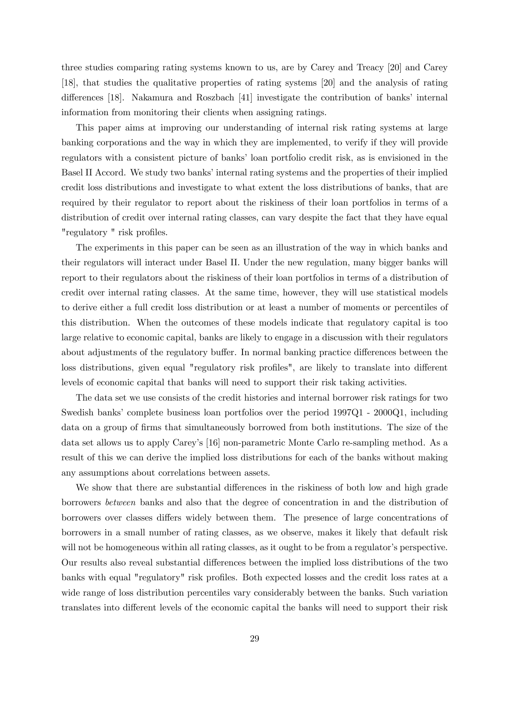three studies comparing rating systems known to us, are by Carey and Treacy [20] and Carey [18], that studies the qualitative properties of rating systems [20] and the analysis of rating differences [18]. Nakamura and Roszbach [41] investigate the contribution of banks' internal information from monitoring their clients when assigning ratings.

This paper aims at improving our understanding of internal risk rating systems at large banking corporations and the way in which they are implemented, to verify if they will provide regulators with a consistent picture of banks' loan portfolio credit risk, as is envisioned in the Basel II Accord. We study two banks' internal rating systems and the properties of their implied credit loss distributions and investigate to what extent the loss distributions of banks, that are required by their regulator to report about the riskiness of their loan portfolios in terms of a distribution of credit over internal rating classes, can vary despite the fact that they have equal "regulatory " risk profiles.

The experiments in this paper can be seen as an illustration of the way in which banks and their regulators will interact under Basel II. Under the new regulation, many bigger banks will report to their regulators about the riskiness of their loan portfolios in terms of a distribution of credit over internal rating classes. At the same time, however, they will use statistical models to derive either a full credit loss distribution or at least a number of moments or percentiles of this distribution. When the outcomes of these models indicate that regulatory capital is too large relative to economic capital, banks are likely to engage in a discussion with their regulators about adjustments of the regulatory buffer. In normal banking practice differences between the loss distributions, given equal "regulatory risk profiles", are likely to translate into different levels of economic capital that banks will need to support their risk taking activities.

The data set we use consists of the credit histories and internal borrower risk ratings for two Swedish banks' complete business loan portfolios over the period 1997Q1 - 2000Q1, including data on a group of firms that simultaneously borrowed from both institutions. The size of the data set allows us to apply Carey's [16] non-parametric Monte Carlo re-sampling method. As a result of this we can derive the implied loss distributions for each of the banks without making any assumptions about correlations between assets.

We show that there are substantial differences in the riskiness of both low and high grade borrowers between banks and also that the degree of concentration in and the distribution of borrowers over classes differs widely between them. The presence of large concentrations of borrowers in a small number of rating classes, as we observe, makes it likely that default risk will not be homogeneous within all rating classes, as it ought to be from a regulator's perspective. Our results also reveal substantial differences between the implied loss distributions of the two banks with equal "regulatory" risk profiles. Both expected losses and the credit loss rates at a wide range of loss distribution percentiles vary considerably between the banks. Such variation translates into different levels of the economic capital the banks will need to support their risk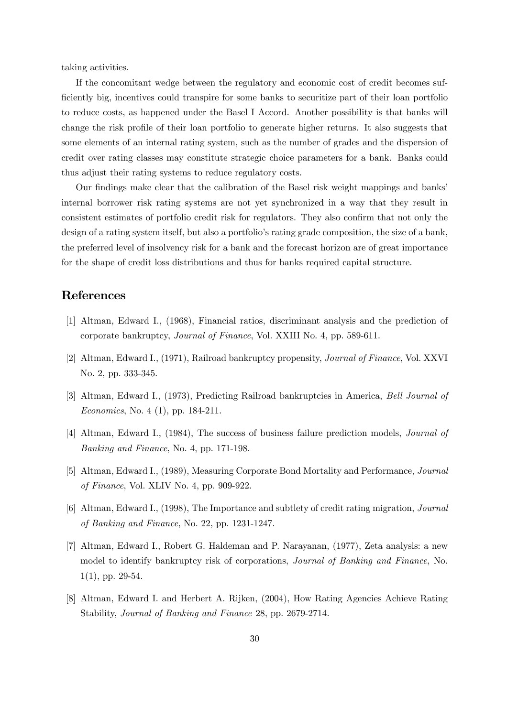taking activities.

If the concomitant wedge between the regulatory and economic cost of credit becomes sufficiently big, incentives could transpire for some banks to securitize part of their loan portfolio to reduce costs, as happened under the Basel I Accord. Another possibility is that banks will change the risk profile of their loan portfolio to generate higher returns. It also suggests that some elements of an internal rating system, such as the number of grades and the dispersion of credit over rating classes may constitute strategic choice parameters for a bank. Banks could thus adjust their rating systems to reduce regulatory costs.

Our findings make clear that the calibration of the Basel risk weight mappings and banks' internal borrower risk rating systems are not yet synchronized in a way that they result in consistent estimates of portfolio credit risk for regulators. They also confirm that not only the design of a rating system itself, but also a portfolio's rating grade composition, the size of a bank, the preferred level of insolvency risk for a bank and the forecast horizon are of great importance for the shape of credit loss distributions and thus for banks required capital structure.

# References

- [1] Altman, Edward I., (1968), Financial ratios, discriminant analysis and the prediction of corporate bankruptcy, Journal of Finance, Vol. XXIII No. 4, pp. 589-611.
- [2] Altman, Edward I., (1971), Railroad bankruptcy propensity, Journal of Finance, Vol. XXVI No. 2, pp. 333-345.
- [3] Altman, Edward I., (1973), Predicting Railroad bankruptcies in America, Bell Journal of Economics, No. 4 (1), pp. 184-211.
- [4] Altman, Edward I., (1984), The success of business failure prediction models, Journal of Banking and Finance, No. 4, pp. 171-198.
- [5] Altman, Edward I., (1989), Measuring Corporate Bond Mortality and Performance, Journal of Finance, Vol. XLIV No. 4, pp. 909-922.
- [6] Altman, Edward I., (1998), The Importance and subtlety of credit rating migration, Journal of Banking and Finance, No. 22, pp. 1231-1247.
- [7] Altman, Edward I., Robert G. Haldeman and P. Narayanan, (1977), Zeta analysis: a new model to identify bankruptcy risk of corporations, Journal of Banking and Finance, No.  $1(1)$ , pp. 29-54.
- [8] Altman, Edward I. and Herbert A. Rijken, (2004), How Rating Agencies Achieve Rating Stability, Journal of Banking and Finance 28, pp. 2679-2714.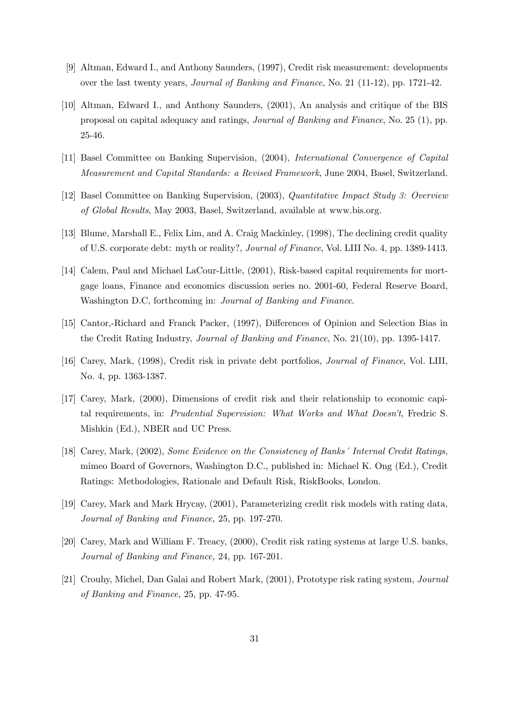- [9] Altman, Edward I., and Anthony Saunders, (1997), Credit risk measurement: developments over the last twenty years, Journal of Banking and Finance, No. 21 (11-12), pp. 1721-42.
- [10] Altman, Edward I., and Anthony Saunders, (2001), An analysis and critique of the BIS proposal on capital adequacy and ratings, Journal of Banking and Finance, No. 25 (1), pp. 25-46.
- [11] Basel Committee on Banking Supervision, (2004), International Convergence of Capital Measurement and Capital Standards: a Revised Framework, June 2004, Basel, Switzerland.
- [12] Basel Committee on Banking Supervision, (2003), Quantitative Impact Study 3: Overview of Global Results, May 2003, Basel, Switzerland, available at www.bis.org.
- [13] Blume, Marshall E., Felix Lim, and A. Craig Mackinley, (1998), The declining credit quality of U.S. corporate debt: myth or reality?, Journal of Finance, Vol. LIII No. 4, pp. 1389-1413.
- [14] Calem, Paul and Michael LaCour-Little, (2001), Risk-based capital requirements for mortgage loans, Finance and economics discussion series no. 2001-60, Federal Reserve Board, Washington D.C, forthcoming in: *Journal of Banking and Finance*.
- [15] Cantor,-Richard and Franck Packer, (1997), Differences of Opinion and Selection Bias in the Credit Rating Industry, Journal of Banking and Finance, No. 21(10), pp. 1395-1417.
- [16] Carey, Mark, (1998), Credit risk in private debt portfolios, Journal of Finance, Vol. LIII, No. 4, pp. 1363-1387.
- [17] Carey, Mark, (2000), Dimensions of credit risk and their relationship to economic capital requirements, in: Prudential Supervision: What Works and What Doesn't, Fredric S. Mishkin (Ed.), NBER and UC Press.
- [18] Carey, Mark, (2002), Some Evidence on the Consistency of Banks´ Internal Credit Ratings, mimeo Board of Governors, Washington D.C., published in: Michael K. Ong (Ed.), Credit Ratings: Methodologies, Rationale and Default Risk, RiskBooks, London.
- [19] Carey, Mark and Mark Hrycay, (2001), Parameterizing credit risk models with rating data, Journal of Banking and Finance, 25, pp. 197-270.
- [20] Carey, Mark and William F. Treacy, (2000), Credit risk rating systems at large U.S. banks, Journal of Banking and Finance, 24, pp. 167-201.
- [21] Crouhy, Michel, Dan Galai and Robert Mark, (2001), Prototype risk rating system, Journal of Banking and Finance, 25, pp. 47-95.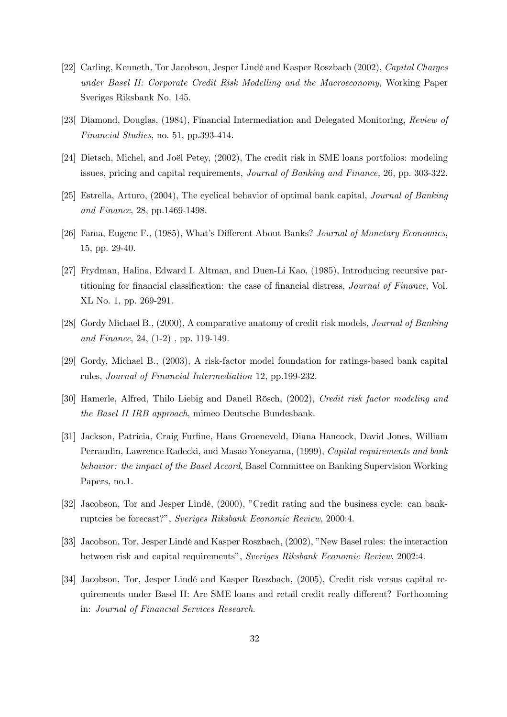- [22] Carling, Kenneth, Tor Jacobson, Jesper Lindé and Kasper Roszbach (2002), Capital Charges under Basel II: Corporate Credit Risk Modelling and the Macroeconomy, Working Paper Sveriges Riksbank No. 145.
- [23] Diamond, Douglas, (1984), Financial Intermediation and Delegated Monitoring, Review of Financial Studies, no. 51, pp.393-414.
- [24] Dietsch, Michel, and Joël Petey, (2002), The credit risk in SME loans portfolios: modeling issues, pricing and capital requirements, Journal of Banking and Finance, 26, pp. 303-322.
- [25] Estrella, Arturo, (2004), The cyclical behavior of optimal bank capital, Journal of Banking and Finance, 28, pp.1469-1498.
- [26] Fama, Eugene F., (1985), What's Different About Banks? Journal of Monetary Economics, 15, pp. 29-40.
- [27] Frydman, Halina, Edward I. Altman, and Duen-Li Kao, (1985), Introducing recursive partitioning for financial classification: the case of financial distress, Journal of Finance, Vol. XL No. 1, pp. 269-291.
- [28] Gordy Michael B., (2000), A comparative anatomy of credit risk models, Journal of Banking and Finance, 24, (1-2) , pp. 119-149.
- [29] Gordy, Michael B., (2003), A risk-factor model foundation for ratings-based bank capital rules, Journal of Financial Intermediation 12, pp.199-232.
- [30] Hamerle, Alfred, Thilo Liebig and Daneil Rösch, (2002), Credit risk factor modeling and the Basel II IRB approach, mimeo Deutsche Bundesbank.
- [31] Jackson, Patricia, Craig Furfine, Hans Groeneveld, Diana Hancock, David Jones, William Perraudin, Lawrence Radecki, and Masao Yoneyama, (1999), Capital requirements and bank behavior: the impact of the Basel Accord, Basel Committee on Banking Supervision Working Papers, no.1.
- [32] Jacobson, Tor and Jesper Lindé, (2000), "Credit rating and the business cycle: can bankruptcies be forecast?", Sveriges Riksbank Economic Review, 2000:4.
- [33] Jacobson, Tor, Jesper Lindé and Kasper Roszbach, (2002), "New Basel rules: the interaction between risk and capital requirements", Sveriges Riksbank Economic Review, 2002:4.
- [34] Jacobson, Tor, Jesper Lindé and Kasper Roszbach, (2005), Credit risk versus capital requirements under Basel II: Are SME loans and retail credit really different? Forthcoming in: Journal of Financial Services Research.